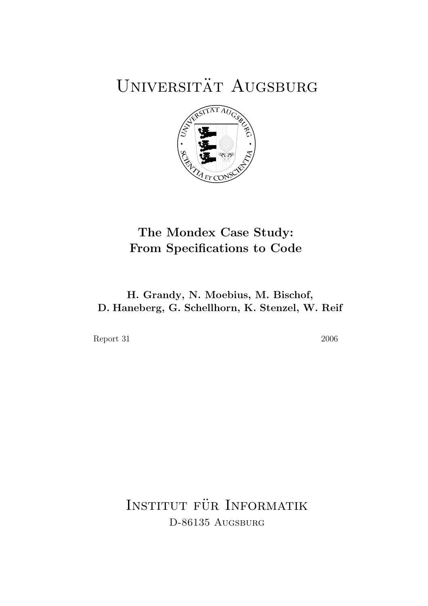## UNIVERSITÄT AUGSBURG



### The Mondex Case Study: From Specifications to Code

#### H. Grandy, N. Moebius, M. Bischof, D. Haneberg, G. Schellhorn, K. Stenzel, W. Reif

Report 31 2006

INSTITUT FÜR INFORMATIK D-86135 AUGSBURG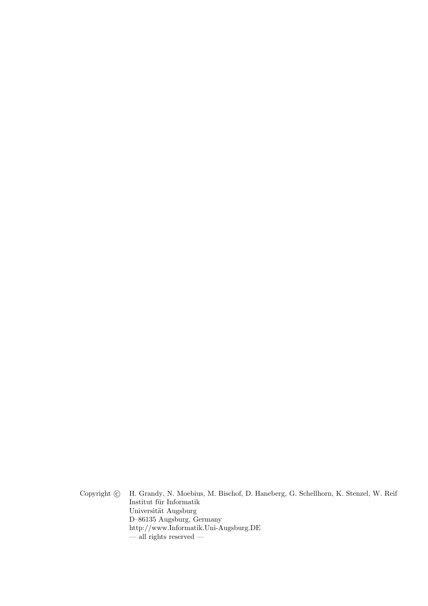Copyright  $\odot$  H. Grandy, N. Moebius, M. Bischof, D. Haneberg, G. Schellhorn, K. Stenzel, W. Reif Institut für Informatik Universität Augsburg D–86135 Augsburg, Germany http://www.Informatik.Uni-Augsburg.DE — all rights reserved —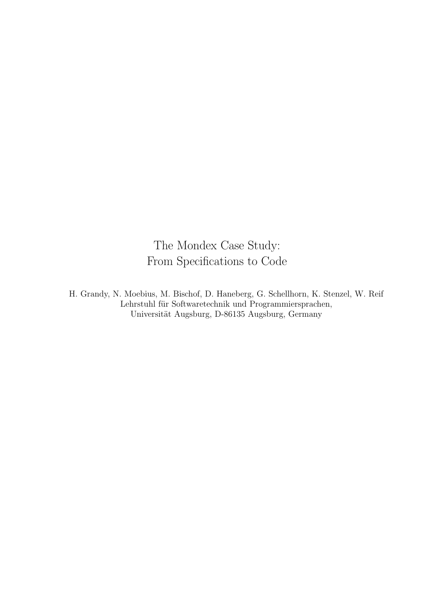The Mondex Case Study: From Specifications to Code

H. Grandy, N. Moebius, M. Bischof, D. Haneberg, G. Schellhorn, K. Stenzel, W. Reif Lehrstuhl für Softwaretechnik und Programmiersprachen, Universität Augsburg, D-86135 Augsburg, Germany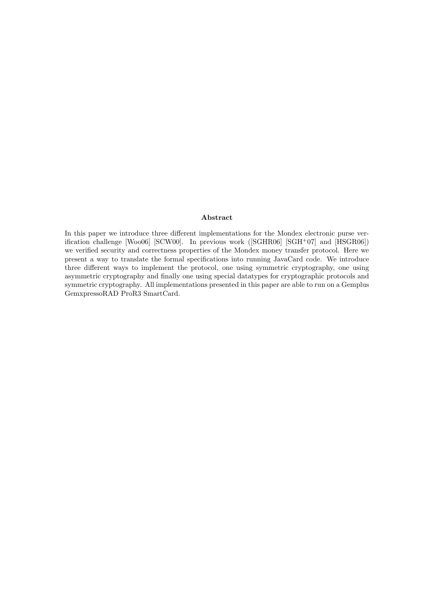#### Abstract

In this paper we introduce three different implementations for the Mondex electronic purse verification challenge [Woo06] [SCW00]. In previous work ([SGHR06] [SGH+07] and [HSGR06]) we verified security and correctness properties of the Mondex money transfer protocol. Here we present a way to translate the formal specifications into running JavaCard code. We introduce three different ways to implement the protocol, one using symmetric cryptography, one using asymmetric cryptography and finally one using special datatypes for cryptographic protocols and symmetric cryptography. All implementations presented in this paper are able to run on a Gemplus GemxpressoRAD ProR3 SmartCard.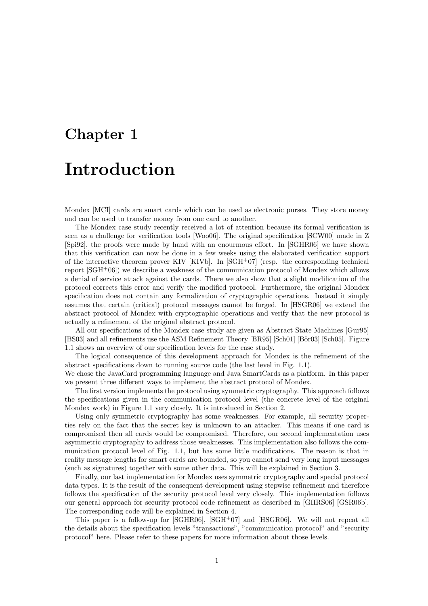# Chapter 1 Introduction

Mondex [MCI] cards are smart cards which can be used as electronic purses. They store money and can be used to transfer money from one card to another.

The Mondex case study recently received a lot of attention because its formal verification is seen as a challenge for verification tools [Woo06]. The original specification [SCW00] made in Z [Spi92], the proofs were made by hand with an enourmous effort. In [SGHR06] we have shown that this verification can now be done in a few weeks using the elaborated verification support of the interactive theorem prover KIV [KIVb]. In  $[SGH<sup>+</sup>07]$  (resp. the corresponding technical report [SGH<sup>+</sup>06]) we describe a weakness of the communication protocol of Mondex which allows a denial of service attack against the cards. There we also show that a slight modification of the protocol corrects this error and verify the modified protocol. Furthermore, the original Mondex specification does not contain any formalization of cryptographic operations. Instead it simply assumes that certain (critical) protocol messages cannot be forged. In [HSGR06] we extend the abstract protocol of Mondex with cryptographic operations and verify that the new protocol is actually a refinement of the original abstract protocol.

All our specifications of the Mondex case study are given as Abstract State Machines [Gur95] [BS03] and all refinements use the ASM Refinement Theory [BR95] [Sch01] [Bör03] [Sch05]. Figure 1.1 shows an overview of our specification levels for the case study.

The logical consequence of this development approach for Mondex is the refinement of the abstract specifications down to running source code (the last level in Fig. 1.1).

We chose the JavaCard programming language and Java SmartCards as a platform. In this paper we present three different ways to implement the abstract protocol of Mondex.

The first version implements the protocol using symmetric cryptography. This approach follows the specifications given in the communication protocol level (the concrete level of the original Mondex work) in Figure 1.1 very closely. It is introduced in Section 2.

Using only symmetric cryptography has some weaknesses. For example, all security properties rely on the fact that the secret key is unknown to an attacker. This means if one card is compromised then all cards would be compromised. Therefore, our second implementation uses asymmetric cryptography to address those weaknesses. This implementation also follows the communication protocol level of Fig. 1.1, but has some little modifications. The reason is that in reality message lengths for smart cards are bounded, so you cannot send very long input messages (such as signatures) together with some other data. This will be explained in Section 3.

Finally, our last implementation for Mondex uses symmetric cryptography and special protocol data types. It is the result of the consequent development using stepwise refinement and therefore follows the specification of the security protocol level very closely. This implementation follows our general approach for security protocol code refinement as described in [GHRS06] [GSR06b]. The corresponding code will be explained in Section 4.

This paper is a follow-up for  $[SGHR06]$ ,  $[SGH<sup>+</sup>07]$  and  $[HSGR06]$ . We will not repeat all the details about the specification levels "transactions", "communication protocol" and "security protocol" here. Please refer to these papers for more information about those levels.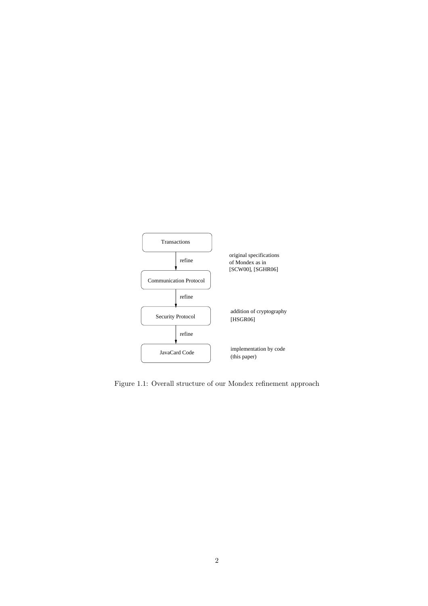

Figure 1.1: Overall structure of our Mondex refinement approach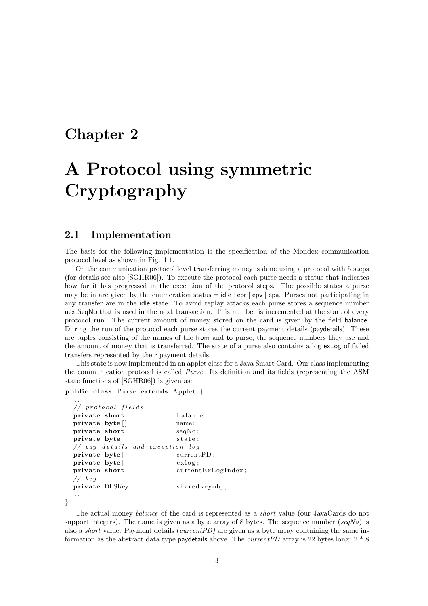### Chapter 2

## A Protocol using symmetric Cryptography

#### 2.1 Implementation

The basis for the following implementation is the specification of the Mondex communication protocol level as shown in Fig. 1.1.

On the communication protocol level transferring money is done using a protocol with 5 steps (for details see also [SGHR06]). To execute the protocol each purse needs a status that indicates how far it has progressed in the execution of the protocol steps. The possible states a purse may be in are given by the enumeration status  $=$  idle  $\vert$  epr  $\vert$  epv  $\vert$  epa. Purses not participating in any transfer are in the idle state. To avoid replay attacks each purse stores a sequence number nextSeqNo that is used in the next transaction. This number is incremented at the start of every protocol run. The current amount of money stored on the card is given by the field balance. During the run of the protocol each purse stores the current payment details (paydetails). These are tuples consisting of the names of the from and to purse, the sequence numbers they use and the amount of money that is transferred. The state of a purse also contains a log exLog of failed transfers represented by their payment details.

This state is now implemented in an applet class for a Java Smart Card. Our class implementing the communication protocol is called Purse. Its definition and its fields (representing the ASM state functions of [SGHR06]) is given as:

```
public class Purse extends Applet {
```

```
. . .
// protocol fields
private short balance;
private byte [ ] name;
private short seqNo;
private byte state;
// pay details and exception logprivate byte [ ] current PD;
\text{private } \text{byte}[] exlog;
private short currentExLogIndex;
// keyprivate DESKey sharedkeyobj;
. . .
```
}

The actual money balance of the card is represented as a short value (our JavaCards do not support integers). The name is given as a byte array of 8 bytes. The sequence number  $(seqNo)$  is also a short value. Payment details (currentPD) are given as a byte array containing the same information as the abstract data type paydetails above. The *currentPD* array is 22 bytes long:  $2 * 8$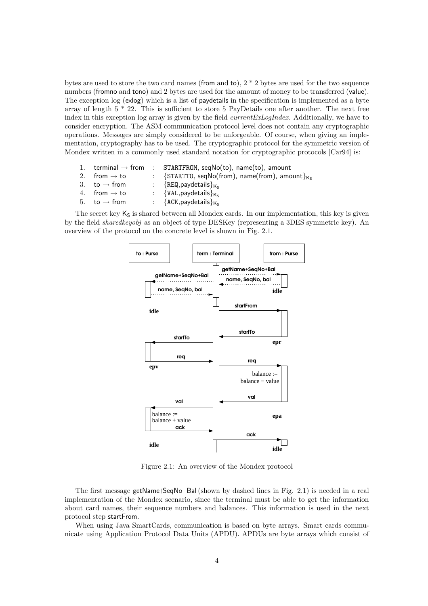bytes are used to store the two card names (from and to),  $2 * 2$  bytes are used for the two sequence numbers (fromno and tono) and 2 bytes are used for the amount of money to be transferred (value). The exception log (exlog) which is a list of paydetails in the specification is implemented as a byte array of length  $5 * 22$ . This is sufficient to store 5 PayDetails one after another. The next free index in this exception log array is given by the field *currentExLogIndex*. Additionally, we have to consider encryption. The ASM communication protocol level does not contain any cryptographic operations. Messages are simply considered to be unforgeable. Of course, when giving an implementation, cryptography has to be used. The cryptographic protocol for the symmetric version of Mondex written in a commonly used standard notation for cryptographic protocols [Car94] is:

1. terminal  $\rightarrow$  from : STARTFROM, seqNo(to), name(to), amount 2. from  $\rightarrow$  to : {STARTTO, seqNo(from), name(from), amount} $K_S$ <br>3. to  $\rightarrow$  from : {REQ, paydetails} $K_S$  $\begin{array}{rcl} \text{to} \rightarrow \text{from} & : & \{\text{REQ}, \text{paydetails}\}_{\mathsf{K}_{\mathsf{S}}}\ \text{from} \rightarrow \text{to} & : & \{\text{VAL}, \text{paydetails}\}_{\mathsf{K}_{\mathsf{S}}}\ \end{array}$ 4. from  $\rightarrow$  to : {VAL, paydetails} $K_S$ <br>5. to  $\rightarrow$  from : {ACK. paydetails} $K_S$  $\{$ ACK,paydetails $\}_{K_S}$ 

The secret key  $K<sub>S</sub>$  is shared between all Mondex cards. In our implementation, this key is given by the field sharedkeyobj as an object of type DESKey (representing a 3DES symmetric key). An overview of the protocol on the concrete level is shown in Fig. 2.1.



Figure 2.1: An overview of the Mondex protocol

The first message getName+SeqNo+Bal(shown by dashed lines in Fig. 2.1) is needed in a real implementation of the Mondex scenario, since the terminal must be able to get the information about card names, their sequence numbers and balances. This information is used in the next protocol step startFrom.

When using Java SmartCards, communication is based on byte arrays. Smart cards communicate using Application Protocol Data Units (APDU). APDUs are byte arrays which consist of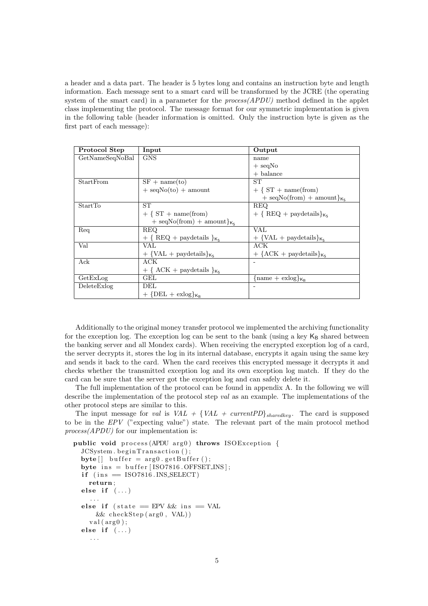a header and a data part. The header is 5 bytes long and contains an instruction byte and length information. Each message sent to a smart card will be transformed by the JCRE (the operating system of the smart card) in a parameter for the  $process(APDU)$  method defined in the applet class implementing the protocol. The message format for our symmetric implementation is given in the following table (header information is omitted. Only the instruction byte is given as the first part of each message):

| Protocol Step   | Input                                        | Output                                            |
|-----------------|----------------------------------------------|---------------------------------------------------|
| GetNameSeqNoBal | <b>GNS</b>                                   | name                                              |
|                 |                                              | $+$ seqNo                                         |
|                 |                                              | $+$ balance                                       |
| StartFrom       | $SF + name(to)$                              | SТ                                                |
|                 | $+$ seqNo(to) $+$ amount                     | $+$ { $ST + name(from)$                           |
|                 |                                              | $+$ seqNo(from) $+$ amount} $\kappa_{\varsigma}$  |
| StartTo         | ST                                           | <b>REQ</b>                                        |
|                 | $+$ { $ST + name(from)$                      | $+ \{ REQ + pay details\}_{K_S}$                  |
|                 | $+$ seqNo(from) $+$ amount} $\kappa_{\rm s}$ |                                                   |
| Req             | REQ.                                         | VAL                                               |
|                 | $+$ { REQ + paydetails } $_{K_S}$            | $+$ {VAL + paydetails} $\kappa_{\rm s}$           |
| Val             | VAL.                                         | ACK                                               |
|                 | $+$ {VAL + paydetails} $_{K_c}$              | $+$ {ACK + paydetails} $_{K_c}$                   |
| Ack             | ACK                                          |                                                   |
|                 | $+$ { ACK + paydetails } $_{K_S}$            |                                                   |
| GetExLog        | GEL                                          | $\{\text{name} + \text{exlog}\}_{K_{\mathsf{P}}}$ |
| DeleteExlog     | DEL                                          |                                                   |
|                 | $+ \{ DEL + \exp\}_{K_R}$                    |                                                   |

Additionally to the original money transfer protocol we implemented the archiving functionality for the exception log. The exception log can be sent to the bank (using a key  $K_B$  shared between the banking server and all Mondex cards). When receiving the encrypted exception log of a card, the server decrypts it, stores the log in its internal database, encrypts it again using the same key and sends it back to the card. When the card receives this encrypted message it decrypts it and checks whether the transmitted exception log and its own exception log match. If they do the card can be sure that the server got the exception log and can safely delete it.

The full implementation of the protocol can be found in appendix A. In the following we will describe the implementation of the protocol step val as an example. The implementations of the other protocol steps are similar to this.

The input message for val is  $VAL + \{VAL + currentPD\}_{sharedkey}$ . The card is supposed to be in the EPV ("expecting value") state. The relevant part of the main protocol method process(APDU) for our implementation is:

```
public void process (APDU arg0) throws ISOException {
  JCSystem.beginTransaction();
  byte[] buffer = arg0.getBuffer();
  byte ins = buffer [ISO7816.OFFSETINS];
  if (ins = ISO7816.INS\_SELECT)return ;
  else if (\ldots). . .
  else if (\text{state} = EPV \&\& \text{ins} = VAL)&& checkS tep ( arg0 , VAL) )
    val(arg0);else if (\ldots). . .
```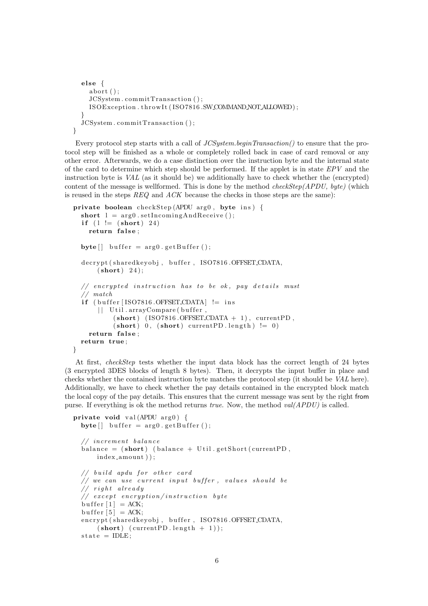```
else {
    abort();
    JCSystem . commitTransaction ( ) ;
    ISOException.throwIt(ISO7816.SWCOMMANDNOTALLOWED);
  }
  JCSystem . commitTransaction ( ) ;
}
```
Every protocol step starts with a call of *JCSystem.beginTransaction*() to ensure that the protocol step will be finished as a whole or completely rolled back in case of card removal or any other error. Afterwards, we do a case distinction over the instruction byte and the internal state of the card to determine which step should be performed. If the applet is in state  $EPV$  and the instruction byte is VAL (as it should be) we additionally have to check whether the (encrypted) content of the message is wellformed. This is done by the method checkStep(APDU, byte) (which is reused in the steps  $REG$  and  $ACK$  because the checks in those steps are the same):

```
private boolean checkStep (APDU arg0, byte ins) {
  short l = arg0. setIncomingAndReceive();
  if (l := (short) 24)return false;
  byte \begin{bmatrix} \end{bmatrix} buffer = arg0.getBuffer ();
  decrypt (sharedkeyobj, buffer, ISO7816.OFFSET_CDATA,
      (short) 24;
  // encrypted instruction has to be ok, pay details must
  // match
  if (buffer [ISO7816.OFFSET_CDATA] != ins
      | | Util.arrayCompare (buffer,
           (short) (ISO7816.OFFSET_CDATA + 1), currentPD,
           (\text{short}) 0, (\text{short}) currentPD length) != 0return false;
 return true ;
}
```
At first, checkStep tests whether the input data block has the correct length of 24 bytes (3 encrypted 3DES blocks of length 8 bytes). Then, it decrypts the input buffer in place and checks whether the contained instruction byte matches the protocol step (it should be VAL here). Additionally, we have to check whether the pay details contained in the encrypted block match the local copy of the pay details. This ensures that the current message was sent by the right from purse. If everything is ok the method returns true. Now, the method  $val(APDU)$  is called.

```
private void val (APDU \arg 0) {
  byte[] buffer = arg0.getBuffer();
  // increment balance
  balance = (short) (balance + Util.getShort (currentPD,
      index amount ) ) ;
  // build apdu for other card
  // we can use current input buffer, values should be
  // right already// except encryption/instruction byte
  but \text{fer} [1] = ACK;buffer [5] = ACK;
  encrypt (shared keyobj, buffer, ISO7816.OFFSET_CDATA,
      (\text{short}) (\text{currentPD.length} + 1));state = IDLE;
```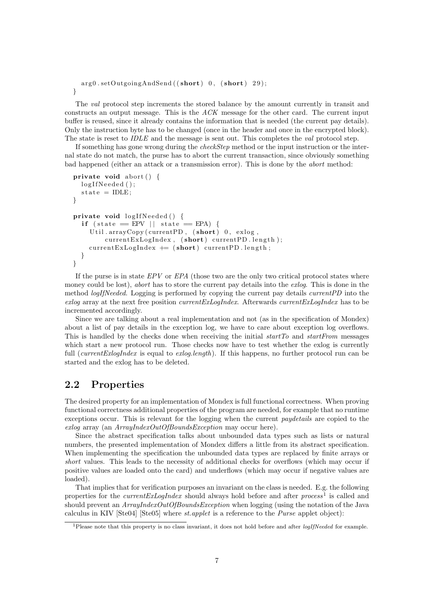```
arg0 . setOutgoingAndSend( (short) 0, (short) 29);}
```
The val protocol step increments the stored balance by the amount currently in transit and constructs an output message. This is the ACK message for the other card. The current input buffer is reused, since it already contains the information that is needed (the current pay details). Only the instruction byte has to be changed (once in the header and once in the encrypted block). The state is reset to *IDLE* and the message is sent out. This completes the *val* protocol step.

If something has gone wrong during the checkStep method or the input instruction or the internal state do not match, the purse has to abort the current transaction, since obviously something bad happened (either an attack or a transmission error). This is done by the abort method:

```
private void abort () {
  logIfNeeded();
  state = IDLE;}
private void logIfNeeded() {
  if (state = EPV || state = EPA) {
    Util.arrayCopy (currentPD, (short) 0, exlog,
        currentExLogIndex, (short) currentPD.length);currentExLogIndex \leftarrow (short) currentPD.length;}
}
```
If the purse is in state  $EPV$  or  $EPA$  (those two are the only two critical protocol states where money could be lost), *abort* has to store the current pay details into the *exlog*. This is done in the method *logIfNeeded*. Logging is performed by copying the current pay details *currentPD* into the exlog array at the next free position *currentExLogIndex*. Afterwards *currentExLogIndex* has to be incremented accordingly.

Since we are talking about a real implementation and not (as in the specification of Mondex) about a list of pay details in the exception log, we have to care about exception log overflows. This is handled by the checks done when receiving the initial startTo and startFrom messages which start a new protocol run. Those checks now have to test whether the exlog is currently full (*currentExlogIndex* is equal to *exlog.length*). If this happens, no further protocol run can be started and the exlog has to be deleted.

#### 2.2 Properties

The desired property for an implementation of Mondex is full functional correctness. When proving functional correctness additional properties of the program are needed, for example that no runtime exceptions occur. This is relevant for the logging when the current *paydetails* are copied to the exlog array (an ArrayIndexOutOfBoundsException may occur here).

Since the abstract specification talks about unbounded data types such as lists or natural numbers, the presented implementation of Mondex differs a little from its abstract specification. When implementing the specification the unbounded data types are replaced by finite arrays or short values. This leads to the necessity of additional checks for overflows (which may occur if positive values are loaded onto the card) and underflows (which may occur if negative values are loaded).

That implies that for verification purposes an invariant on the class is needed. E.g. the following properties for the *currentExLogIndex* should always hold before and after  $process<sup>1</sup>$  is called and should prevent an  $ArrayIndexOutOfBoundsException$  when logging (using the notation of the Java calculus in KIV [Ste04] [Ste05] where st.applet is a reference to the Purse applet object):

<sup>&</sup>lt;sup>1</sup>Please note that this property is no class invariant, it does not hold before and after *logIfNeeded* for example.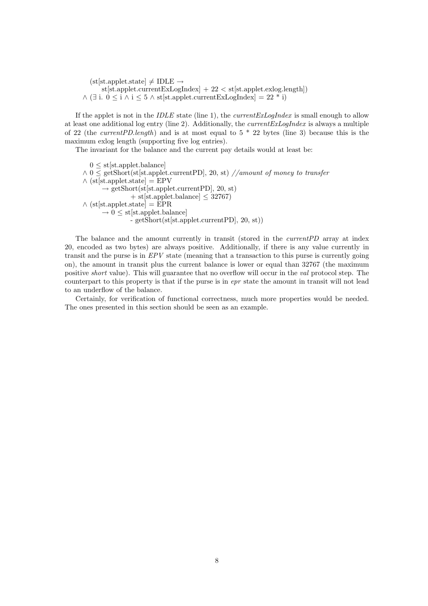$(st[st.appendet.state] \neq IDLE \rightarrow$  $\text{st}[\text{st.append.currentExLogIndex}] \, + \, 22 < \text{st}[\text{st.append.exlog.length}])$  $\wedge$  (∃ i.  $0 \leq i \wedge i \leq 5 \wedge$  st[st.applet.currentExLogIndex] = 22 \* i)

If the applet is not in the IDLE state (line 1), the *currentExLogIndex* is small enough to allow at least one additional log entry (line 2). Additionally, the  $currentExLogIndex$  is always a multiple of 22 (the *currentPD.length*) and is at most equal to  $5 * 22$  bytes (line 3) because this is the maximum exlog length (supporting five log entries).

The invariant for the balance and the current pay details would at least be:

 $0 \leq$  st[st.applet.balance]  $\wedge$  0  $\leq$  getShort(st[st.applet.currentPD], 20, st) //amount of money to transfer  $\wedge$  (st[st.applet.state] = EPV  $\rightarrow$  getShort(st[st.applet.currentPD], 20, st)  $+$  st[st.applet.balance]  $\leq$  32767)  $\wedge$  (st[st.applet.state] = EPR  $\rightarrow$  0  $\leq$  st[st.applet.balance] - getShort(st[st.applet.currentPD], 20, st))

The balance and the amount currently in transit (stored in the *currentPD* array at index 20, encoded as two bytes) are always positive. Additionally, if there is any value currently in transit and the purse is in  $EPV$  state (meaning that a transaction to this purse is currently going on), the amount in transit plus the current balance is lower or equal than 32767 (the maximum positive short value). This will guarantee that no overflow will occur in the val protocol step. The counterpart to this property is that if the purse is in epr state the amount in transit will not lead to an underflow of the balance.

Certainly, for verification of functional correctness, much more properties would be needed. The ones presented in this section should be seen as an example.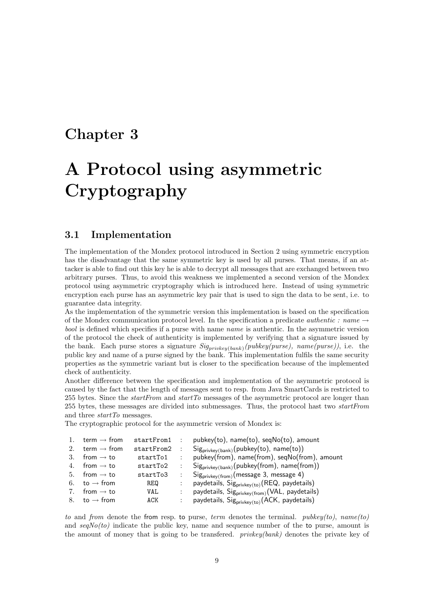### Chapter 3

## A Protocol using asymmetric Cryptography

#### 3.1 Implementation

The implementation of the Mondex protocol introduced in Section 2 using symmetric encryption has the disadvantage that the same symmetric key is used by all purses. That means, if an attacker is able to find out this key he is able to decrypt all messages that are exchanged between two arbitrary purses. Thus, to avoid this weakness we implemented a second version of the Mondex protocol using asymmetric cryptography which is introduced here. Instead of using symmetric encryption each purse has an asymmetric key pair that is used to sign the data to be sent, i.e. to guarantee data integrity.

As the implementation of the symmetric version this implementation is based on the specification of the Mondex communication protocol level. In the specification a predicate *authentic : name*  $\rightarrow$ bool is defined which specifies if a purse with name name is authentic. In the asymmetric version of the protocol the check of authenticity is implemented by verifying that a signature issued by the bank. Each purse stores a signature  $Sig_{pri vkey(bank)}(pubkey(purse), name(purse)),$  i.e. the public key and name of a purse signed by the bank. This implementation fulfils the same security properties as the symmetric variant but is closer to the specification because of the implemented check of authenticity.

Another difference between the specification and implementation of the asymmetric protocol is caused by the fact that the length of messages sent to resp. from Java SmartCards is restricted to 255 bytes. Since the *startFrom* and *startTo* messages of the asymmetric protocol are longer than 255 bytes, these messages are divided into submessages. Thus, the protocol hast two startFrom and three *startTo* messages.

The cryptographic protocol for the asymmetric version of Mondex is:

| 1. | term $\rightarrow$ from  | startFrom1 : |           | $pubkey(to)$ , name $(to)$ , seq $No(to)$ , amount                               |
|----|--------------------------|--------------|-----------|----------------------------------------------------------------------------------|
| 2. | term $\rightarrow$ from  | startFrom2   | $\sim$ 1. | $Sign_{\text{privkey}(bank)}(\text{pubkey}(\text{to}), \text{ name}(\text{to}))$ |
| 3. | from $\rightarrow$ to    | startTo1     |           | pubkey(from), name(from), seqNo(from), amount                                    |
|    | 4. from $\rightarrow$ to | startTo2     |           | $Sign_{\text{privkey(bank)}}(\text{pubkey(from)}$ , name(from))                  |
|    | 5. from $\rightarrow$ to | startTo3     |           | $Sign_{\text{privkey}(\text{from})}(\text{message 3, message 4})$                |
|    | 6. to $\rightarrow$ from | REQ          |           | paydetails, $Sigprivkey(to) (REQ, paydetails)$                                   |
| 7. | from $\rightarrow$ to    | VAL.         |           | paydetails, $Sigprivkey(from) (VAL, paydetails)$                                 |
|    | 8. to $\rightarrow$ from | ACK          |           | paydetails, $Sigprivkey(to) (ACK, paydetails)$                                   |
|    |                          |              |           |                                                                                  |

to and from denote the from resp. to purse, term denotes the terminal.  $pubkey(to)$ , name(to) and  $seqNo(to)$  indicate the public key, name and sequence number of the to purse, amount is the amount of money that is going to be transfered. privkey(bank) denotes the private key of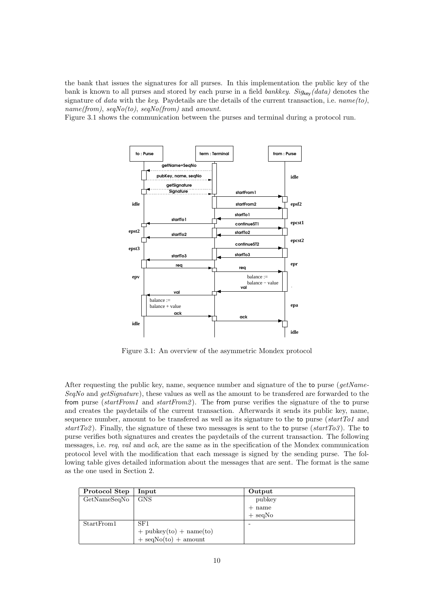the bank that issues the signatures for all purses. In this implementation the public key of the bank is known to all purses and stored by each purse in a field *bankkey. Sig<sub>key</sub>(data)* denotes the signature of data with the key. Paydetails are the details of the current transaction, i.e.  $name(to)$ ,  $name(from)$ ,  $sea No(to)$ ,  $sea No(from)$  and amount.

Figure 3.1 shows the communication between the purses and terminal during a protocol run.



Figure 3.1: An overview of the asymmetric Mondex protocol

After requesting the public key, name, sequence number and signature of the to purse (getName-SeqNo and getSignature), these values as well as the amount to be transfered are forwarded to the from purse (startFrom1 and startFrom2). The from purse verifies the signature of the to purse and creates the paydetails of the current transaction. Afterwards it sends its public key, name, sequence number, amount to be transfered as well as its signature to the to purse  $(startTo1)$  and start  $T_0(2)$ . Finally, the signature of these two messages is sent to the to purse (start  $T_0(3)$ ). The to purse verifies both signatures and creates the paydetails of the current transaction. The following messages, i.e. req, val and ack, are the same as in the specification of the Mondex communication protocol level with the modification that each message is signed by the sending purse. The following table gives detailed information about the messages that are sent. The format is the same as the one used in Section 2.

| Protocol Step | Input                       | Output                   |
|---------------|-----------------------------|--------------------------|
| GetNameSeqNo  | GNS                         | pubkey                   |
|               |                             | $+$ name                 |
|               |                             | $+$ seqNo                |
| StartFrom1    | SF1                         | $\overline{\phantom{a}}$ |
|               | $+$ pubkey(to) $+$ name(to) |                          |
|               | $+$ seqNo(to) $+$ amount    |                          |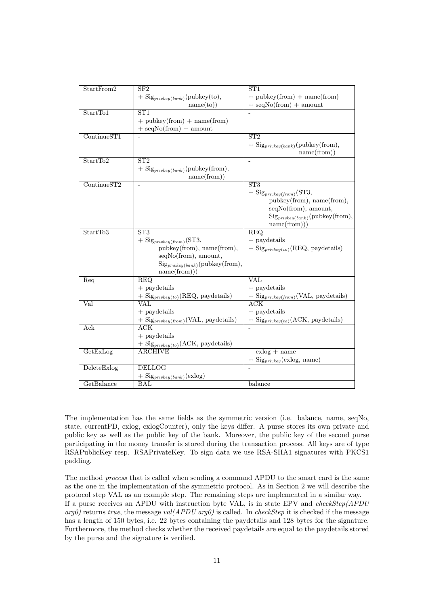| StartFrom2                      | SF <sub>2</sub>                                                                  | ST <sub>1</sub>                                                     |
|---------------------------------|----------------------------------------------------------------------------------|---------------------------------------------------------------------|
|                                 | $+$ Sig <sub>privkey(bank)</sub> (pubkey(to),                                    | $+$ pubkey(from) $+$ name(from)                                     |
|                                 | name(to))                                                                        | $+$ seqNo(from) $+$ amount                                          |
| StartTo1                        | ST <sub>1</sub>                                                                  |                                                                     |
|                                 | $+$ pubkey(from) $+$ name(from)                                                  |                                                                     |
|                                 | $+$ seqNo(from) $+$ amount                                                       |                                                                     |
| $\overline{\text{ContinueST1}}$ |                                                                                  | $\overline{\text{ST2}}$                                             |
|                                 |                                                                                  | $+$ Sig <sub>privkey</sub> ( $_{bank}$ )(pubkey(from),              |
|                                 |                                                                                  | name(from))                                                         |
| StartTo2                        | ST2                                                                              | L.                                                                  |
|                                 | $+$ Sig <sub>privkey</sub> (bank)(pubkey(from),                                  |                                                                     |
|                                 | name(from)                                                                       |                                                                     |
| ContinueST2                     |                                                                                  | ST3                                                                 |
|                                 |                                                                                  | $+$ Sig <sub>privkey</sub> $(from)(ST3,$                            |
|                                 |                                                                                  | pubkey(from), name(from),                                           |
|                                 |                                                                                  | seqNo(from), amount,                                                |
|                                 |                                                                                  | $\mathrm{Sig}_{\textit{privkey}(bank)}(\text{pubkey}(\text{from}),$ |
|                                 |                                                                                  | name(from))                                                         |
| StartTo3                        | ST <sub>3</sub>                                                                  | <b>REQ</b>                                                          |
|                                 | $+$ Sig <sub>privkey</sub> $(from)(ST3,$                                         | $+$ paydetails                                                      |
|                                 | pubkey(from), name(from),                                                        | $+$ Sig <sub>privkey(to)</sub> (REQ, paydetails)                    |
|                                 | seqNo(from), amount,                                                             |                                                                     |
|                                 | $\mathrm{Sig}_{\textit{privkey}(\textit{bank})}(\textrm{pubkey}(\textrm{from}),$ |                                                                     |
|                                 | name(from))                                                                      |                                                                     |
| Req                             | <b>REQ</b>                                                                       | VAL                                                                 |
|                                 | $+$ paydetails                                                                   | $+$ paydetails                                                      |
|                                 | $+$ Sig <sub>privkey(to)</sub> (REQ, paydetails)                                 | $+$ Sig <sub>privkey</sub> (from) (VAL, paydetails)                 |
| Val                             | $\overline{\text{VAL}}$                                                          | <b>ACK</b>                                                          |
|                                 | $+$ paydetails                                                                   | $+$ paydetails                                                      |
|                                 | $+$ Sig <sub>privkey</sub> (from) (VAL, paydetails)                              | $+$ Sig <sub>privkey(to)</sub> (ACK, paydetails)                    |
| Ack                             | ACK                                                                              | ÷,                                                                  |
|                                 | $+$ paydetails                                                                   |                                                                     |
|                                 | $+$ Sig <sub>privkey(to)</sub> (ACK, paydetails)                                 |                                                                     |
| GetExLog                        | <b>ARCHIVE</b>                                                                   | $exlog + name$                                                      |
|                                 |                                                                                  | $+$ Sig <sub>privkey</sub> (exlog, name)                            |
| DeleteExlog                     | <b>DELLOG</b>                                                                    |                                                                     |
|                                 | $+$ Sig <sub>privkey(bank)</sub> (exlog)                                         |                                                                     |
| GetBalance                      | <b>BAL</b>                                                                       | balance                                                             |

The implementation has the same fields as the symmetric version (i.e. balance, name, seqNo, state, currentPD, exlog, exlogCounter), only the keys differ. A purse stores its own private and public key as well as the public key of the bank. Moreover, the public key of the second purse participating in the money transfer is stored during the transaction process. All keys are of type RSAPublicKey resp. RSAPrivateKey. To sign data we use RSA-SHA1 signatures with PKCS1 padding.

The method process that is called when sending a command APDU to the smart card is the same as the one in the implementation of the symmetric protocol. As in Section 2 we will describe the protocol step VAL as an example step. The remaining steps are implemented in a similar way. If a purse receives an APDU with instruction byte VAL, is in state EPV and  $checkStep(APDU)$  $arg\theta$ ) returns true, the message val(APDU arg $\theta$ ) is called. In checkStep it is checked if the message has a length of 150 bytes, i.e. 22 bytes containing the paydetails and 128 bytes for the signature. Furthermore, the method checks whether the received paydetails are equal to the paydetails stored by the purse and the signature is verified.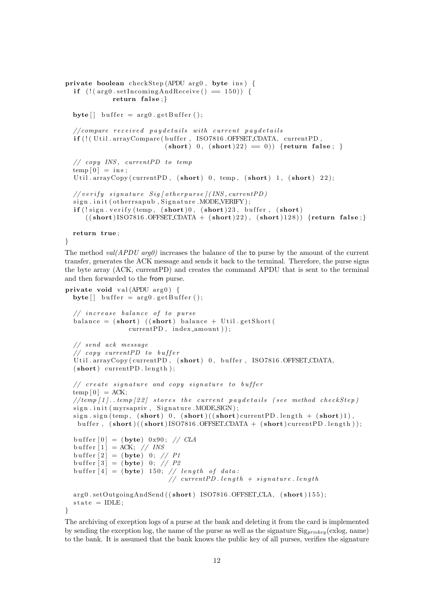```
private boolean checkStep (APDU arg0, byte ins) {
  if (|(\arg\theta.\setminus\setminus\cdot\cdot\cdot\cdot\cdot)\cdot\rangle) = 150) {
              return false;
  byte \begin{bmatrix} \end{bmatrix} buffer = arg0. get Buffer ();
  // compare received pay details with current paydetails
  if (! (Util.arrayCompare (buffer, ISO7816.OFFSET_CDATA, currentPD,
                             (\text{short}) 0, (\text{short}) 22 = 0) {return false; }
  // copy INS, current PD to temptemp[0] = ins;Util.arrayCopy (currentPD, (short) 0, temp, (short) 1, (short) 22);
  // verify signature Sig [ otherpurse ] (INS, current PD )
  sign.init (otherrsapub, Signature.MODE_VERIFY);
  if (!sign. verify (temp, (short) 0, (short) 23, buffer, (short)((short) ISO7816.OFFSET CDATA + (short)22), (short)128)) {return false;}
  return true ;
```

```
}
```
The method  $val(APDU \t{arg}\theta)$  increases the balance of the to purse by the amount of the current transfer, generates the ACK message and sends it back to the terminal. Therefore, the purse signs the byte array (ACK, currentPD) and creates the command APDU that is sent to the terminal and then forwarded to the from purse.

```
private void val (APDU arg0) {
  byte | buffer = arg0.getBuffer();
  // increase balance of to pursuebalance = (short) ((short) balance + Util.getShort (
                  currentPD, index_a mount);
  // send ack message
  // copy current PD to bufferUtil.arrayCopy (currentPD, (short)), buffer, ISO7816.OFFSET_CDATA,
  (short) current PD . length );
  // create signature and copy signature to buffer
  temp [0] = ACK;1 / (temp [1]. temp [22] stores the current paydetails (see method checkStep)
  sign.init (myrsapriv, Signature.MODESIGN);
  sign \, . \, sign \, (temp, \, (short) \, 0, \, (short) ( (short) current PD \, . \, length \, + \, (short) 1) \, .buffer, (\text{short})((\text{short})ISO7816.\text{OFFSET}CDATA + (\text{short})currentPD.\text{length});
  buffer [0] = (byte) 0x90; // CLAbuffer |1| = ACK; // INS
  buffer \begin{bmatrix} 2 \end{bmatrix} = (byte) 0; // P1
  buffer [3] = (byte) 0; // P2buffer [4] = (byte) 150; // length of data:// current PD.length + signature.lengtharg0.setOutgoingAndSend((short) ISO7816.OFFSET_CLA, (short)155);
  state = IDLE:
}
```
The archiving of exception logs of a purse at the bank and deleting it from the card is implemented by sending the exception log, the name of the purse as well as the signature  $Sig_{privkey}$  (exlog, name) to the bank. It is assumed that the bank knows the public key of all purses, verifies the signature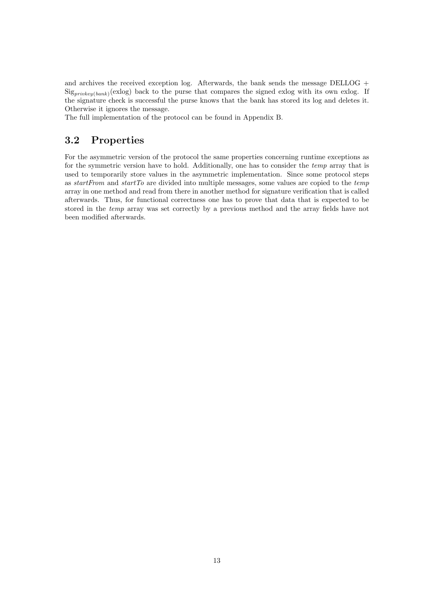and archives the received exception log. Afterwards, the bank sends the message DELLOG +  $Signive_{\text{w}}(bank)(exlog)$  back to the purse that compares the signed exlog with its own exlog. If the signature check is successful the purse knows that the bank has stored its log and deletes it. Otherwise it ignores the message.

The full implementation of the protocol can be found in Appendix B.

#### 3.2 Properties

For the asymmetric version of the protocol the same properties concerning runtime exceptions as for the symmetric version have to hold. Additionally, one has to consider the *temp* array that is used to temporarily store values in the asymmetric implementation. Since some protocol steps as startFrom and startTo are divided into multiple messages, some values are copied to the temp array in one method and read from there in another method for signature verification that is called afterwards. Thus, for functional correctness one has to prove that data that is expected to be stored in the temp array was set correctly by a previous method and the array fields have not been modified afterwards.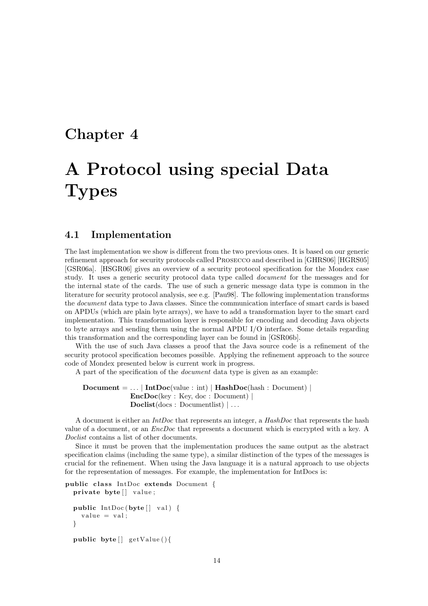### Chapter 4

## A Protocol using special Data **Types**

#### 4.1 Implementation

The last implementation we show is different from the two previous ones. It is based on our generic refinement approach for security protocols called Prosecco and described in [GHRS06] [HGRS05] [GSR06a]. [HSGR06] gives an overview of a security protocol specification for the Mondex case study. It uses a generic security protocol data type called document for the messages and for the internal state of the cards. The use of such a generic message data type is common in the literature for security protocol analysis, see e.g. [Pau98]. The following implementation transforms the document data type to Java classes. Since the communication interface of smart cards is based on APDUs (which are plain byte arrays), we have to add a transformation layer to the smart card implementation. This transformation layer is responsible for encoding and decoding Java objects to byte arrays and sending them using the normal APDU I/O interface. Some details regarding this transformation and the corresponding layer can be found in [GSR06b].

With the use of such Java classes a proof that the Java source code is a refinement of the security protocol specification becomes possible. Applying the refinement approach to the source code of Mondex presented below is current work in progress.

A part of the specification of the document data type is given as an example:

```
Document = ... | IntDoc(value : int) | HashDoc(hash : Document) |EncDoc(key : Key, doc : Document) |
             Doclist(docs: Documentlist) | ...
```
A document is either an  $IntDoc$  that represents an integer, a  $HashDoc$  that represents the hash value of a document, or an EncDoc that represents a document which is encrypted with a key. A Doclist contains a list of other documents.

Since it must be proven that the implementation produces the same output as the abstract specification claims (including the same type), a similar distinction of the types of the messages is crucial for the refinement. When using the Java language it is a natural approach to use objects for the representation of messages. For example, the implementation for IntDocs is:

```
public class IntDoc extends Document {
  private byte[] value;
  public IntDoc (byte [] val) {
    value = val;}
  public byte [] getValue () {
```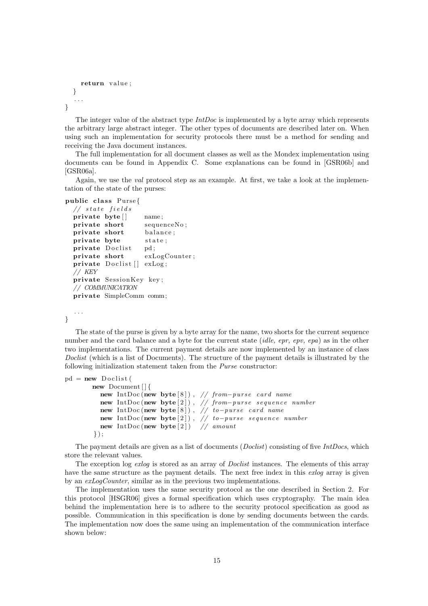```
return value;
  }
   . . .
}
```
The integer value of the abstract type  $IntDoc$  is implemented by a byte array which represents the arbitrary large abstract integer. The other types of documents are described later on. When using such an implementation for security protocols there must be a method for sending and receiving the Java document instances.

The full implementation for all document classes as well as the Mondex implementation using documents can be found in Appendix C. Some explanations can be found in [GSR06b] and [GSR06a].

Again, we use the val protocol step as an example. At first, we take a look at the implementation of the state of the purses:

```
public class Purse{
```

```
// state fieldsprivate byte [] name;
private short sequenceNo;
private short balance;
private byte state;
private Doclist pd;
private short exLogCounter;
private Doclist [ exLog;
// KEY
private SessionKey key;
// COMMUNICATION
private SimpleComm comm;
```
}

. . .

The state of the purse is given by a byte array for the name, two shorts for the current sequence number and the card balance and a byte for the current state *(idle, epr, epv, epa)* as in the other two implementations. The current payment details are now implemented by an instance of class Doclist (which is a list of Documents). The structure of the payment details is illustrated by the following initialization statement taken from the Purse constructor:

```
pd = new \cdot Doclistnew Document [ ] {
         new IntDoc(new byte[8]), // from-purse card name
         new IntDoc(new byte[2]), // from−purse sequence number
         new IntDoc(new byte [8]), // to-purse card name
         new IntDoc(new byte[2]), // to-purse sequence number
         new IntDoc (new byte[2]) // amount
       \} ) ;
```
The payment details are given as a list of documents (*Doclist*) consisting of five  $IntDoes$ , which store the relevant values.

The exception log exlog is stored as an array of *Doclist* instances. The elements of this array have the same structure as the payment details. The next free index in this exlog array is given by an exLogCounter, similar as in the previous two implementations.

The implementation uses the same security protocol as the one described in Section 2. For this protocol [HSGR06] gives a formal specification which uses cryptography. The main idea behind the implementation here is to adhere to the security protocol specification as good as possible. Communication in this specification is done by sending documents between the cards. The implementation now does the same using an implementation of the communication interface shown below: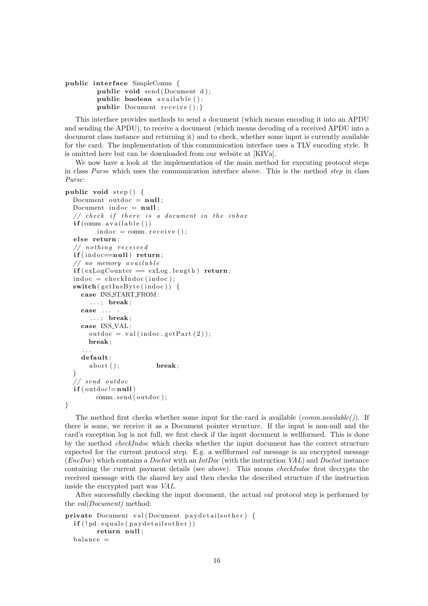```
public interface SimpleComm {
        public void send (Document d);
        public boolean available ();
        public Document receive();
```
This interface provides methods to send a document (which means encoding it into an APDU and sending the APDU), to receive a document (which means decoding of a received APDU into a document class instance and returning it) and to check, whether some input is currently available for the card. The implementation of this communication interface uses a TLV encoding style. It is omitted here but can be downloaded from our website at [KIVa].

We now have a look at the implementation of the main method for executing protocol steps in class Purse which uses the communication interface above. This is the method step in class Purse:

```
public void step () \{Document outdoc = null;
  Document indoc = null;// check if there is a document in the inboxif (comm. available () )indoc = comm. \nreceive();else return;
  // nothing receivedif (indoc = null) return;// no memory availableif (exLogCounter = exLog.length) return;indoc = checkIndoc (indoc);\textbf{switch}(\text{getInsByte}(\text{indoc})) {
    case INS START FROM:
       \ldots; break;
    case ... :
       \ldots; break;
    case INS VAL :
      outdoc = val(indoc.getPart(2));break ;
     . . .
    default:
      abort (); break;
  }
  // send outdocif (outdoc!=null)comm. send ( outdoc ) ;
}
```
The method first checks whether some input for the card is available (*comm.available*(*)*). If there is some, we receive it as a Document pointer structure. If the input is non-null and the card's exception log is not full, we first check if the input document is wellformed. This is done by the method checkIndoc which checks whether the input document has the correct structure expected for the current protocol step. E.g. a wellformed val message is an encrypted message  $(EncDoc)$  which contains a *Doclist* with an *IntDoc* (with the instruction VAL) and *Doclist* instance containing the current payment details (see above). This means checkIndoc first decrypts the received message with the shared key and then checks the described structure if the instruction inside the encrypted part was VAL.

After successfully checking the input document, the actual val protocol step is performed by the val(Document) method:

```
private Document val (Document paydetailsother) {
 if (!pd.equals(pay detailsother))return null;
 balance =
```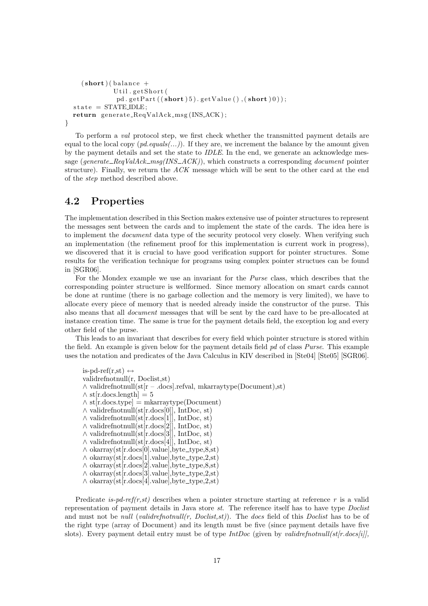```
(\text{short})(\text{ balance } +Util.getShort(
              pd.getPart((short)5).getValue(),(short)0));state = STATEIDLE;return generate_ReqValAck_msg(INS_ACK);
}
```
To perform a val protocol step, we first check whether the transmitted payment details are equal to the local copy  $(pd.equals(...))$ . If they are, we increment the balance by the amount given by the payment details and set the state to IDLE. In the end, we generate an acknowledge message (generate  $\text{RegValAck}_{\text{mag}}(INS \text{ACK})$ ), which constructs a corresponding document pointer structure). Finally, we return the  $ACK$  message which will be sent to the other card at the end of the step method described above.

#### 4.2 Properties

The implementation described in this Section makes extensive use of pointer structures to represent the messages sent between the cards and to implement the state of the cards. The idea here is to implement the *document* data type of the security protocol very closely. When verifying such an implementation (the refinement proof for this implementation is current work in progress), we discovered that it is crucial to have good verification support for pointer structures. Some results for the verification technique for programs using complex pointer structues can be found in [SGR06].

For the Mondex example we use an invariant for the Purse class, which describes that the corresponding pointer structure is wellformed. Since memory allocation on smart cards cannot be done at runtime (there is no garbage collection and the memory is very limited), we have to allocate every piece of memory that is needed already inside the constructor of the purse. This also means that all document messages that will be sent by the card have to be pre-allocated at instance creation time. The same is true for the payment details field, the exception log and every other field of the purse.

This leads to an invariant that describes for every field which pointer structure is stored within the field. An example is given below for the payment details field pd of class Purse. This example uses the notation and predicates of the Java Calculus in KIV described in [Ste04] [Ste05] [SGR06].

is-pd-ref(r,st)  $\leftrightarrow$ validrefnotnull(r, Doclist,st) ∧ validrefnotnull(st[r – .docs].refval, mkarraytype(Document),st)  $\wedge$  st[r.docs.length] = 5  $\wedge$  st[r.docs.type] = mkarraytype(Document) ∧ validrefnotnull(st[r.docs[0]], IntDoc, st) ∧ validrefnotnull(st[r.docs[1]], IntDoc, st)  $\land$ validrefnotnull(st[r.docs[2]], IntDoc, st) ∧ validrefnotnull(st[r.docs[3]], IntDoc, st) ∧ validrefnotnull(st[r.docs[4]], IntDoc, st)  $\wedge$  okarray(st[r.docs[0].value], byte\_type, 8, st)  $\wedge$  okarray(st[r.docs[1].value], byte\_type,2,st]  $\wedge$  okarray(st[r.docs[2].value],byte\_type,8,st)  $\wedge$  okarray(st[r.docs[3].value], byte\_type,2,st)  $\wedge$  okarray(st[r.docs[4].value], byte\_type,2,st)

Predicate is-pd-ref(r,st) describes when a pointer structure starting at reference r is a valid representation of payment details in Java store st. The reference itself has to have type Doclist and must not be *null (validrefnotnull(r, Doclist,st)*). The *docs* field of this *Doclist* has to be of the right type (array of Document) and its length must be five (since payment details have five slots). Every payment detail entry must be of type  $IntDoc$  (given by validrefnotnull(st[r.docs[i]],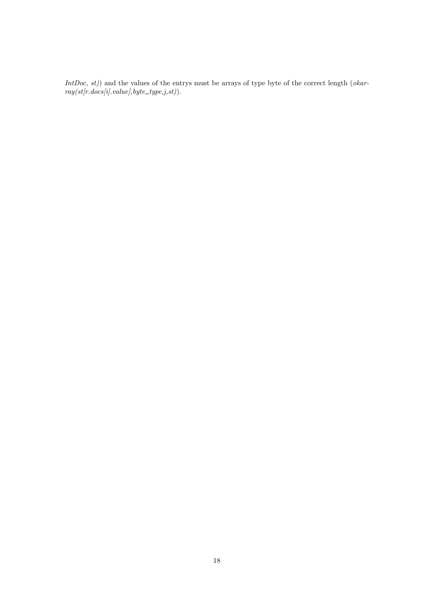IntDoc,  $st$ ) and the values of the entrys must be arrays of type byte of the correct length (okar $ray(st[r.docs[i].value], byte\_type,j,st)$ .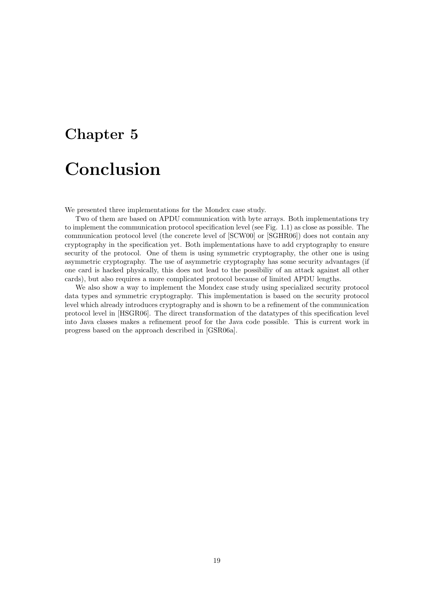# Chapter 5 Conclusion

We presented three implementations for the Mondex case study.

Two of them are based on APDU communication with byte arrays. Both implementations try to implement the communication protocol specification level (see Fig. 1.1) as close as possible. The communication protocol level (the concrete level of [SCW00] or [SGHR06]) does not contain any cryptography in the specification yet. Both implementations have to add cryptography to ensure security of the protocol. One of them is using symmetric cryptography, the other one is using asymmetric cryptography. The use of asymmetric cryptography has some security advantages (if one card is hacked physically, this does not lead to the possibiliy of an attack against all other cards), but also requires a more complicated protocol because of limited APDU lengths.

We also show a way to implement the Mondex case study using specialized security protocol data types and symmetric cryptography. This implementation is based on the security protocol level which already introduces cryptography and is shown to be a refinement of the communication protocol level in [HSGR06]. The direct transformation of the datatypes of this specification level into Java classes makes a refinement proof for the Java code possible. This is current work in progress based on the approach described in [GSR06a].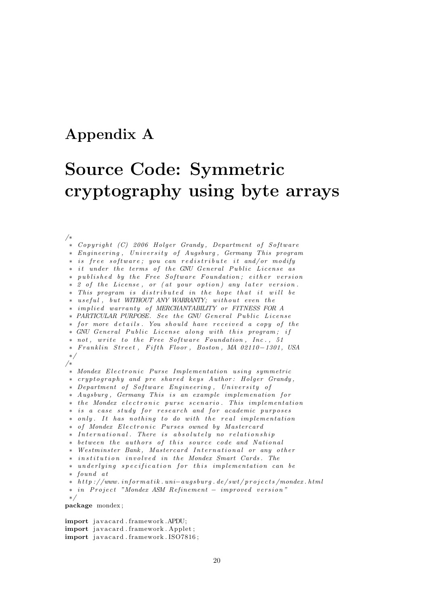### Appendix A

## Source Code: Symmetric cryptography using byte arrays

/∗ ∗ Copyright (C) 2006 Holger Grandy, Department of Software ∗ Engineering, University of Augsburg, Germany This program \* is free software; you can redistribute it and/or modify ∗ it under the terms of the GNU General Public License as ∗ published by the Free Software Foundation; either version ∗ 2 of the License, or (at your option) any later version. \* This program is distributed in the hope that it will be ∗ useful, but WITHOUT ANY WARRANTY; without even the ∗ im p l i e d warran ty o f MERCHANTABILITY or FITNESS FOR A \* PARTICULAR PURPOSE. See the GNU General Public License ∗ for more details. You should have received a copy of the \* GNU General Public License along with this program; if \* not, write to the Free Software Foundation, Inc., 51 ∗ F r a n kl i n S t r e e t , F i f t h Floor , Boston , MA 02110−1301 , USA ∗/ /∗ ∗ Mondex E l e c t r o n i c Purse Im plemen t a t i on u s i n g symme tr ic \* cryptography and pre shared keys Author: Holger Grandy, \* Department of Software Engineering, University of ∗ Augsburg, Germany This is an example implemenation for \* the Mondex electronic purse scenario. This implementation ∗ is a case study for research and for academic purposes ∗ only. It has nothing to do with the real implementation ∗ o f Mondex E l e c t r o n i c Purses owned by Mas tercard \* International. There is absolutely no relationship \* between the authors of this source code and National ∗ Westminster Bank, Mastercard International or any other ∗ i n s t i t u t i o n i n v o l v e d in t h e Mondex Smart Cards . The ∗ underlying specification for this implementation can be ∗ found a t ∗ h t t p : / /www . i n f o rm a t i k . un i−a ug sb u rg . de / sw t / p r o j e c t s /mondex . h tml ∗ in P r o j e c t "Mondex ASM Re f inemen t − improved v e r s i o n " ∗/ package mondex ;

import javacard.framework.APDU; import javacard.framework.Applet; import javacard.framework.ISO7816;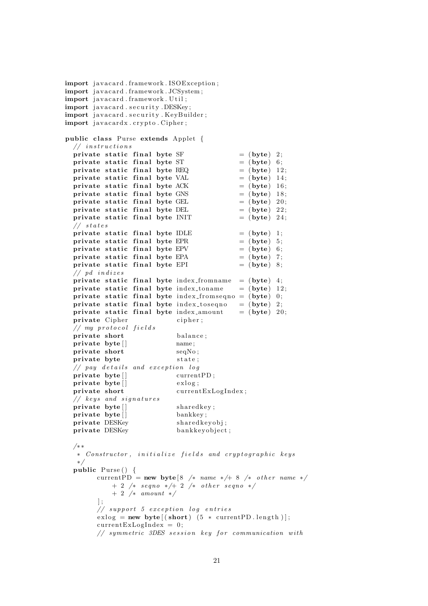```
import javacard.framework.ISOException:
import javacard.framework.JCSystem;
import javacard.framework. Util;
import javacard.security.DESKey;
import javacard.security.KeyBuilder;
import javacardx.crypto.Cipher;
public class Purse extends Applet {
 // instructions
  private static final byte SF = (byte) 2;
  private static final byte ST = (byte) 6;
  private static final byte REQ = (byte) 12;<br>private static final byte VAL = (byte) 14;
  private static final byte VAL
  private static final byte ACK = (byte) 16;
  private static final byte GNS = (byte) 18;
  private static final byte GEL = (byte) 20;
  private static final byte DEL = (byte) 22;
  private static final byte INIT = (byte) 24;
  // states
  private static final byte IDLE = (byte) 1;<br>
private static final byte EPR = (byte) 5;
  private static final byte EPR
  private static final byte EPV = (byte) 6;
  private static final byte EPA = (byte) 7;
  private static final byte EPI = (byte) 8;
  //\ pd\ in \ dizesprivate static final byte index from a = (byte) 4;
  private static final byte index toname = (byte) 12;
  private static final byte index from sequelet (0; 0;private static final byte index_toseqno = (byte) 2;
  private static final byte index amount = (byte) 20;
  private Cipher cipher;
  // my protocol fieldsprivate short balance;
  private byte [ ] name;
  private short seqNo:
  private byte state;
  // pay details and exception logprivate byte [ ] current PD;
  \text{private} \text{byte}[] exlog;
  private short currentExLogIndex;
  // keys and signatures
  private byte [ ] sharedkey;
  private byte [ ] bankkey ;
  private DESKey shared keyobj;
 private DESKey bankkeyobject;
  /∗ ∗
   ∗ Constructor, initialize fields and cryptographic keys
  ∗/
  public Purse() {
       currentPD = new byte 8 /* name */+ 8 /* other name */
          + 2 /* seqno */+ 2 /* other seqno */
           + 2 /∗ amount ∗/
       \vert;
       // support 5 exception log entries\text{exlog} = \text{new byte}[(\text{short}) (5 * \text{currentPD.length})];currentExLogIndex = 0;
       // symmetric 3DES session key for communication with
```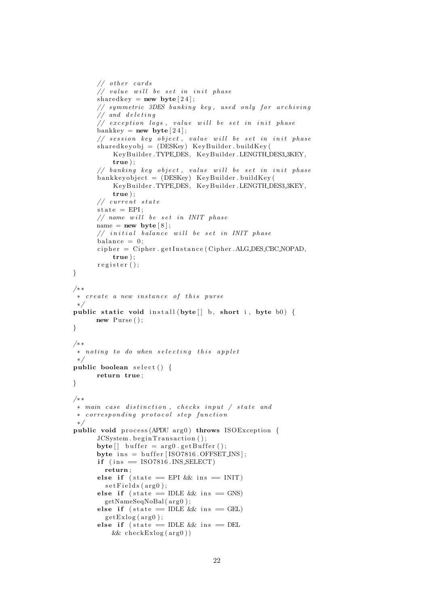```
// other cards\frac{1}{2} value will be set in init phase
       shared key = new byte [24];
       // symmetric 3DES banking key, used only for archiving
       // and deleting
       // exception logs, value will be set in init phase
       bankkey = new byte \begin{bmatrix} 24 \end{bmatrix};
       // session key object, value will be set in init phase
       sharedkeyobj = (DESKey) KeyBuilder.buidKey()KeyBuilder . TYPE DES, KeyBuilder . LENGTH DES3 3KEY,
            true ) ;
       // banking key object, value will be set in init phase
       b an k ke y ob jec t = (DESKey) KeyBuilder . buildKey (
            KeyBuilder . TYPE DES, KeyBuilder . LENGTH DES3 3KEY,
            true ) ;
       // current state\text{state} = \text{EPI};// name will be set in INIT phase
       name = new byte[8];// initial balance will be set in IMIT phasebalance = 0;
       cipher = Cipher.getInstance(Cipher.ALGDES.CBCNOPAD,true ) ;
       register ();
}
/∗ ∗
 ∗ create a new instance of this purse
 ∗/
public static void install (byte | \cdot | b, short i, byte b0) {
      new Purse ();
}
/∗ ∗
 \ast noting to do when selecting this applet
 ∗/
public boolean select() \{return true ;
}
/∗ ∗
 ∗ main case distinction, checks input / state and
 ∗ c o r r e s p o n d i n g p r o t o c o l s t e p f u n c t i o n
 ∗/
public void process (APDU arg0) throws ISOException {
       JCSystem.begin Transaction();
       \text{byte} [ ] buffer = \arg 0. get Buffer ();
       byte ins = buffer [ISO7816. OFFSET INS ];if (ins = ISO7816.INS\_SELECT)return ;
       else if (\text{state} = \text{EPI} \&\& \text{ins} = \text{INIT})set Fields (arg0);else if (s \text{tate} == \text{IDLE} \&\& \text{ins} == \text{GNS})getNameSeqNoBal(arg0);else if (\text{state} = \text{IDLE} \&\text{k} ins = \text{GEL})getExlog(<math>arg(0)</math>):else if (s \text{tate} == \text{IDLE} \& \text{ins} == \text{DEL})&\& check Exlog(arg0))
```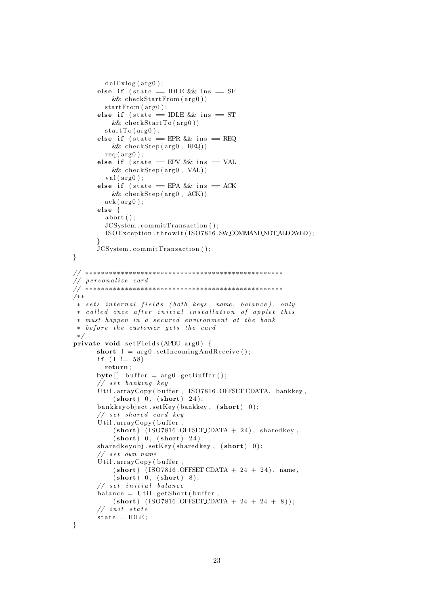```
delExlog(<math>arg0</math>);
       else if (\text{state} = \text{IDLE} \&\text{ins} = \text{SF})&c\text{heckStartFrom}(arg0))startFrom (arg0);else if (state = IDLE && ins = ST
           & c \text{heckStartTo}(arg 0))startTo(arg0);else if (\text{state} = \text{EPR} \&\text{s} \text{ins} = \text{REQ})&c\text{heckStep} (\text{arg0}, \text{REQ})req ( arg 0);else if (s \text{tate} = EPV \&\& \text{ins} = VAL&& checkS tep ( arg0 , VAL) )
         val(axg0);else if (state = EPA && ins = ACK
           &c\text{heckStep} (\text{arg0}, \text{ACK}))ack(\arg 0);else {
         abort() :
         JCSystem . commitTransaction ( ) ;
         ISOException.throwIt(ISO7816.SW_COMMANDNOTALLOWED);
       }
       JCSystem . commitTransaction ( ) ;
}
// ∗∗∗∗∗∗∗∗∗∗∗∗∗∗∗∗∗∗∗∗∗∗∗∗∗∗∗∗∗∗∗∗∗∗∗∗∗∗∗∗∗∗∗∗∗∗∗∗∗∗
// personalize card
// ∗∗∗∗∗∗∗∗∗∗∗∗∗∗∗∗∗∗∗∗∗∗∗∗∗∗∗∗∗∗∗∗∗∗∗∗∗∗∗∗∗∗∗∗∗∗∗∗∗∗
/∗ ∗
 * sets internal fields (both keys, name, balance), only
 ∗ c a l l e d once a f t e r i n i t i a l i n s t a l l a t i o n o f a p p l e t t h i s
 * must happen in a secured environment at the bank
 ∗ before the customer gets the card
 ∗/
private void set Fields (APDU arg0) {
       short l = \arg\theta setIncomingAndReceive ();
       if (1 != 58)return ;
       byte [ buffer = arg0.getBuffer();
       // set banking key
       Util.arrayCopy (buffer, ISO7816.OFFSET_CDATA, bankkey,
            (\text{short}) 0, (\text{short}) 24;
       bankkeyobject.setKey(bankkey, (short) 0);
       // set shared card keyUtil.arrayCopy (buffer,(short) (ISO7816.OFFSET_CDATA + 24), sharedkey,
            (\text{short}) 0, (\text{short}) 24);
       sharedkeyobj.setKey(sharedkey, (short) 0);// set own nameUtil. arrayCopy (buffer,(short) (ISO7816.OFFSET_CDATA + 24 + 24), name,
            (\text{short}) 0, (\text{short}) 8);
       // set initial balancebalance = Util.getShort(buffer)(short) (ISO7816.OFFSET_CDATA + 24 + 24 + 8));
       // in it state
       state = IDLE:
```

```
}
```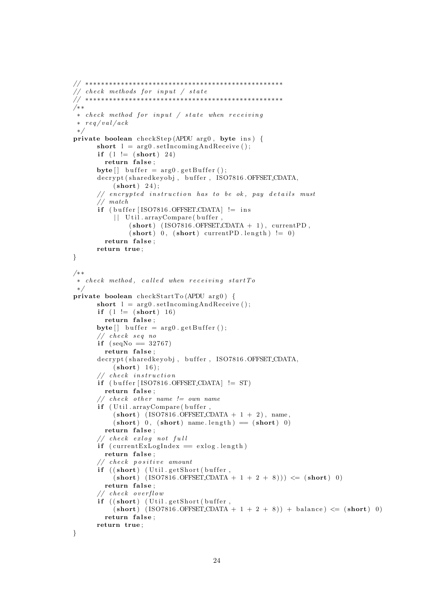```
// ∗∗∗∗∗∗∗∗∗∗∗∗∗∗∗∗∗∗∗∗∗∗∗∗∗∗∗∗∗∗∗∗∗∗∗∗∗∗∗∗∗∗∗∗∗∗∗∗∗∗
\frac{1}{\sqrt{2}} check methods for input \frac{1}{\sqrt{2}} state
// ∗∗∗∗∗∗∗∗∗∗∗∗∗∗∗∗∗∗∗∗∗∗∗∗∗∗∗∗∗∗∗∗∗∗∗∗∗∗∗∗∗∗∗∗∗∗∗∗∗∗
/∗ ∗
 * check method for input / state when receiving
 * \text{reg}/\text{val}/\text{ack}∗/
private boolean checkStep (APDU arg0, byte ins) {
      short l = arg0. setIncomingAndReceive ();
       if (l := (short) 24)return false;
      byte[] buffer = arg0.getBuffer();
       decrypt (sharedkeyobj, buffer, ISO7816.OFFSET_CDATA,
           (short) 24);
       // encrypted instruction has to be ok, pay details must
       // match
      if (buffer [ISO7816.OFFSET\_CDATA] := ins|| Util.arrayCompare (buffer,
                (short) (ISO7816.OFFSET_CDATA + 1), currentPD,
                (\textbf{short}) 0, (\textbf{short}) currentPD length) != 0)
         return false;
      return true ;
}
/∗ ∗
 ∗ c heck method , c a l l e d when r e c e i v i n g s t a r t T o
 ∗/
private boolean checkStartTo (APDU arg0) {
      short l = arg0. setIncomingAndReceive ();
       if (l := (short) 16)return false;
      byte[] buffer = arg0.getBuffer();
       // check seq no
       if (\text{seqNo} \equiv 32767)return false:
       decrypt (sharedkeyobj, buffer, ISO7816.OFFSET_CDATA,
           (short) 16;
       // check instruction
       if (buffer [ISO7816.OFFSET_CDATA] != ST)
         return false;
       // check other name != own name
       if ( Util . arrayCompare ( buffer,
           (short) (ISO7816.OFFSET_CDATA + 1 + 2), name,
           (\text{short}) 0, (\text{short}) name length ) = (\text{short}) 0)
         return false:
       // check exlog not full
       if ( current ExLogIndex = exlog.length)
         return false:
       // check positive amountif ((short) (Util.getShort(buffer,
           (\text{short}) (\text{ISO}7816.\text{OFFSET\_CDATA} + 1 + 2 + 8))) \leq (\text{short}) 0)
         return false;
       // check over flowif ((short) (Util.getShort(buffer,
           (\text{short}) (\text{ISO7816.OFFSET-CDATA} + 1 + 2 + 8)) + \text{balance} \leq (\text{short}) 0)
         return false:
      return true ;
}
```

```
24
```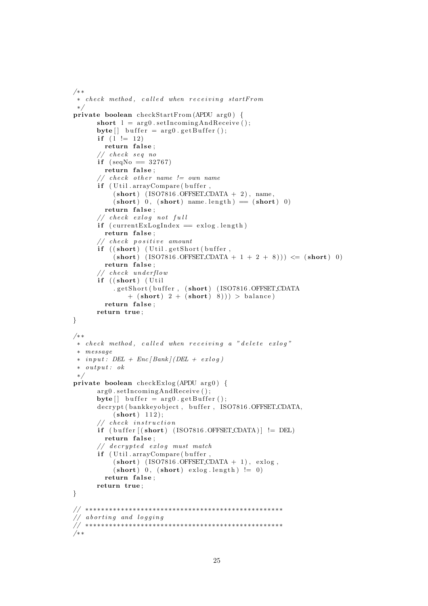```
/∗ ∗
 ∗ c heck method , c a l l e d when r e c e i v i n g s tar tFrom
 ∗/
private boolean checkStartFrom (APDU arg0) {
      short l = arg0. setIncomingAndReceive ();
      byte[] buffer = arg0.getBuffer();
       if (1 := 12)return false;
       // check seq noif (seqNo \equiv 32767)return false:
       // check other name != own name
      if ( Util . arrayCompare ( buffer,
           (short) (ISO7816.OFFSET_CDATA + 2), name,
           (\text{short}) 0, (\text{short}) name length ) = (\text{short}) 0)
        return false;
       // check <i>exlog not full</i>if ( current ExLogIndex = exlog.length )
        return false;
       // check positive amountif ((short) (Util.getShort (buffer,(\text{short}) (\text{ISO}7816.\text{OFFSET}\text{CDATA} + 1 + 2 + 8))) \leq (\text{short}) 0)
        return false:
       // check underflowif ((short) (Util). getShort (buffer, (short) (ISO7816.OFFSET_CDATA
               + (short) 2 + (short) 8))) > balance)
         return false;
      return true ;
}
/∗ ∗
 ∗ c heck method , c a l l e d when r e c e i v i n g a " d e l e t e e x l o g "
 ∗ message
 \ast in put : DEL + Enc [Bank] (DEL + exloq)
 * output: ok
 ∗/
private boolean checkExlog (APDU arg0) {
       arg0.setIncomingAndReceive();
      byte[] buffer = arg0.getBuffer();
       decrypt (bankkeyobject, buffer, ISO7816.OFFSET_CDATA,
           (short) 112;
       // check instruction
      if ( buffer [(short) (ISO7816.OFFSET_CDATA) ] = DEL)
        return false;
       // decrypted exloq must match
      if ( Util . arrayCompare ( buffer,
           (short) (ISO7816.OFFSET_CDATA + 1), exlog,
           (\text{short}) 0, (\text{short}) exlog.length) != 0return false;
      return true ;
}
// ∗∗∗∗∗∗∗∗∗∗∗∗∗∗∗∗∗∗∗∗∗∗∗∗∗∗∗∗∗∗∗∗∗∗∗∗∗∗∗∗∗∗∗∗∗∗∗∗∗∗
// aborting and loqqing
// ∗∗∗∗∗∗∗∗∗∗∗∗∗∗∗∗∗∗∗∗∗∗∗∗∗∗∗∗∗∗∗∗∗∗∗∗∗∗∗∗∗∗∗∗∗∗∗∗∗∗
/∗ ∗
```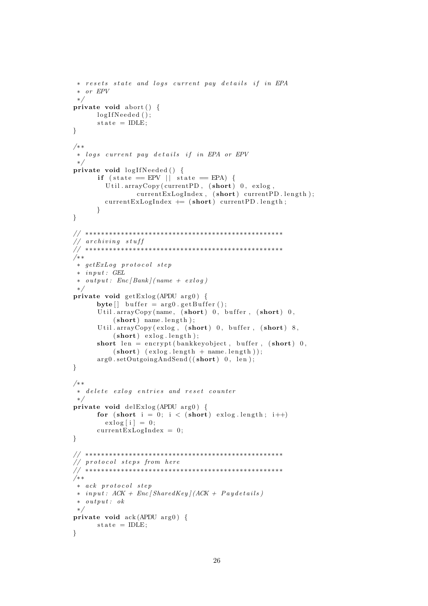```
* resets state and logs current pay details if in EPA
 ∗ or EPV
 ∗/
private void abort () {
      logIfNeeded();
      state = IDLE;}
/∗ ∗
∗ logs current pay details if in EPA or EPV
 ∗/
private void logIfNeeded() {
      if (state = EPV || state = EPA) {
        Util.arrayCopy ( current PD, (short) 0, exlog,
                 currentExLogIndex, (short) currentPD.length);currentExLogIndex \neq (short) currentPD.length;}
}
// ∗∗∗∗∗∗∗∗∗∗∗∗∗∗∗∗∗∗∗∗∗∗∗∗∗∗∗∗∗∗∗∗∗∗∗∗∗∗∗∗∗∗∗∗∗∗∗∗∗∗
// archiving stuff
// ∗∗∗∗∗∗∗∗∗∗∗∗∗∗∗∗∗∗∗∗∗∗∗∗∗∗∗∗∗∗∗∗∗∗∗∗∗∗∗∗∗∗∗∗∗∗∗∗∗∗
/∗ ∗
∗ ge tExLog p r o t o c o l s t e p
 \ast in put : GEL
 \ast output: Enc [Bank] (name + exlog)
 ∗/
private void getExlog(APDU arg0) {
      byte[] buffer = arg0.getBuffer();
      Util. arrayCopy(name, (short) 0, buffer, (short) 0,(short) name. length);
      Util.arrayCopy (exlog, (short) 0, buffer, (short) 8,
          (\text{short}) exlog. length);
      short len = encrypt (bankkeyobject, buffer, (\text{short}) 0,
          (\text{short}) (\text{exlog.length} + \text{name.length})).arg0.setOutgoingAndSend((short) 0, len);}
/∗ ∗
 ∗ delete exlog entries and reset counter
 ∗/
private void delExlog (APDU arg0) {
      for (short i = 0; i < (short) exlog length; i++)
        exlog[i] = 0;currentExLogIndex = 0;}
// ∗∗∗∗∗∗∗∗∗∗∗∗∗∗∗∗∗∗∗∗∗∗∗∗∗∗∗∗∗∗∗∗∗∗∗∗∗∗∗∗∗∗∗∗∗∗∗∗∗∗
// protocol steps from here
// ∗∗∗∗∗∗∗∗∗∗∗∗∗∗∗∗∗∗∗∗∗∗∗∗∗∗∗∗∗∗∗∗∗∗∗∗∗∗∗∗∗∗∗∗∗∗∗∗∗∗
/∗ ∗
∗ ack p r o t o c o l s t e p
 * in put : ACK + Enc [SharedKey] (ACK + Paydetails)
 \ast output: ok
 ∗/
private void ack(APDU arg 0) {
     state = IDLE;
}
```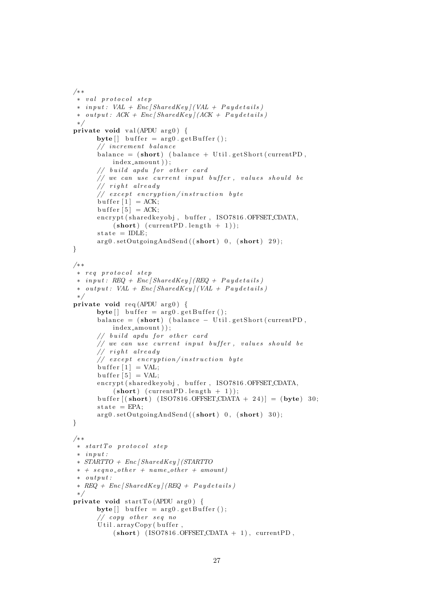```
/∗ ∗
 ∗ v a l p r o t o c o l s t e p
 \ast in put : VAL + Enc [SharedKey] (VAL + Paydetails)
 \ast output: ACK + Enc [SharedKey] (ACK + Paydetails)
 ∗/
private void val (APDU arg0) {
       byte[] buffer = arg0.getBuffer();
       // increment balance
       balance = (short) (balance + Util.getShort(currentPD,index_amount ) );
       // build apdu for other card
       // we can use current input buffer, values should be// right already// except encryption/instruction byte
       but \text{fer} [1] = ACK;buffer [5] = ACK;
       encrypt (shared keyobj, buffer, ISO7816.OFFSET_CDATA,
            (\text{short}) (\text{currentPD.length} + 1));state = IDLE;
       arg0.setOutgoingAndSend((short) 0, (short) 29);}
/∗ ∗
 ∗ r e q p r o t o c o l s t e p
 \ast in put : REQ + Enc [SharedKey] (REQ + P a y d e t a ils)
 \ast output: VAL + Enc [SharedKey] (VAL + Paydetails)
 ∗/
private void req (APDU arg0) {
       byte[] buffer = arg0.getBuffer();
       \text{balance} = (\text{short}) (balance – Util.getShort (currentPD,
            index amount ) ) ;
       // build apdu for other card
       // we can use current input buffer, values should be
       // right already// except encryption/instruction byte
       but \text{fer } [1] = VAL;buffer [5] = VAL;
       encrypt (shared keyobj, buffer, ISO7816.OFFSET_CDATA,
            (\text{short}) (\text{currentPD.length} + 1));buffer [(\text{short}) \text{ (ISO7816.OFFSET\_CDATA + 24)}] = (\text{byte}) \cdot 30;\text{state} = \text{EPA};arg0.setOutgoingAndSend((short) 0, (short) 30);}
/∗ ∗
∗ s t a r t T o p r o t o c o l s t e p
 \dot{*} in put :
 ∗ STARTTO + Enc [ SharedKey ] (STARTTO
 * + \text{seq } n \text{ o }_{-} \text{ other } + \text{name\_other } + \text{ amount}\dot{*} output:
 \ast REQ + Enc [SharedKey] (REQ + P a y d e t a i l s)
 ∗/
private void startTo (APDU arg0) {
       \text{byte} [] buffer = arg0.getBuffer ();
       // copy other seq noUtil.arrayCopy (buffer,(short) (ISO7816.OFFSET_CDATA + 1), currentPD,
```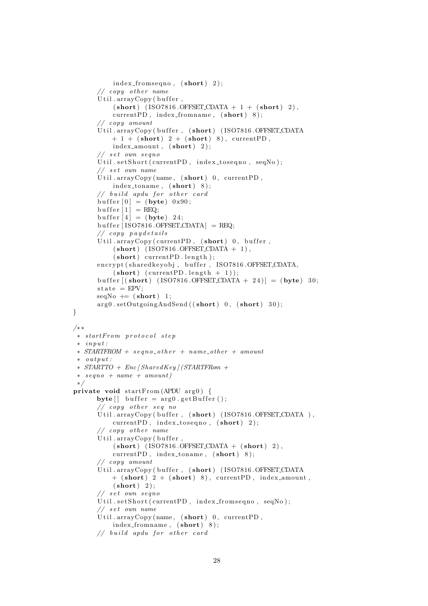```
index_fromseqno, (short) 2);// copy other nameUtil.arrayCopy (buffer,(\text{short}) (\text{ISO}7816.\text{OFFSET\_CDATA} + 1 + (\text{short}) \ 2),
           currentPD, index\_from name, (short) 8);
      // copy amount
      Util.arrayCopy (buffer, (short) (ISO7816.OFFSET_CDATA
          + 1 + (short) 2 + (short) 8), currentPD,index_a mount, (short) 2);// set own segnoUtil.setShort (\text{currentPD}, index_toseqno, seqNo);
      // set own nameUtil.arrayCopy(name, (short) 0, currentPD,
           index_toname, (short) 8);
      // build a pdu for other cardbuffer [0] = (byte) 0x90;buffer [1] = REQ;buffer [4] = (byte) 24;buffer [ISO7816.OFFSET\_CDATA] = REQ;// copy paydetails
      Util.arrayCopy (currentPD, (short)) 0, buffer,
           (short) ( ISO7816 . OFFSET CDATA + 1),
           (short) current PD.length);encrypt (sharedkeyobj, buffer, ISO7816.OFFSET_CDATA,
           (\text{short}) (\text{currentPD.length} + 1));
      buffer ((short) (ISO7816.OFFSET_CDATA + 24) ] = (byte) 30;
      \text{state} = \text{EPV};seqNo \models (short) 1;arg0.setOutgoingAndSend((short) 0, (short) 30);/∗ ∗
 ∗ s tar tFrom p r o t o c o l s t e p
 \dot{r} in put :
 \ast STARTFROM + segno_other + name_other + amount
 \ast \quad output:∗ STARTTO + Enc [ SharedKey ] (STARTFRom +
 * \; seqno + name + amount)∗/
private void startFrom (APDU arg0) {
      byte [ buffer = arg0.getBuffer();
      // copy other seq noUtil. arrayCopy (buffer, (short) (ISO7816.OFFSET. CDATA),
           currentPD, index\_toseqno, (short) 2);
      // copy other nameUtil.arrayCopy (buffer,(short) (ISO7816.OFFSET\_CDATA + (short) 2),
           currentPD, index\_toname, (short) 8);
      // copy amount
      Util.arrayCopy (buffer, (short) (ISO7816.OFFSET_CDATA
          + (short) 2 + (short) 8), currentPD, index_amount,
           (short) 2);
      // set own segnoUtil.setShort (currentPD, index_fromseqno, seqNo);
      // set own nameUtil.arrayCopy (name, (short)) 0, currentPD,
           index_fromname, (short) 8);
      // build a pdu for other card
```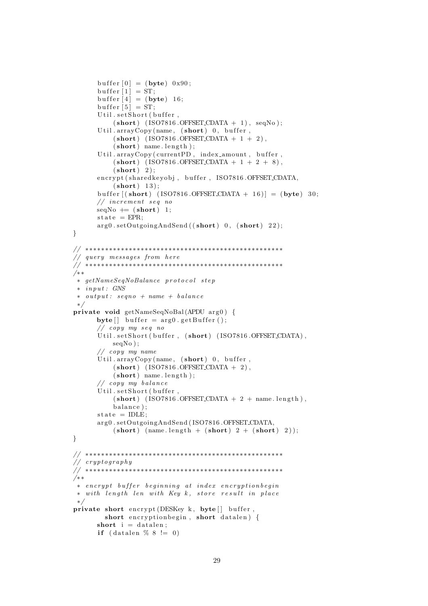```
buffer [0] = (byte) 0x90;buffer |1| = ST;
       buffer [4] = (byte) 16;buffer [5] = ST;Util.setShort (buffer,
           (short) (ISO7816.OFFSET_CDATA + 1), seqNo);
       Util.arrayCopy(name, (\text{short})) 0, buffer,
           (\text{short}) (\text{ISO}7816.\text{OFFSET\_CDATA} + 1 + 2),
           (short) name. length);
       Util.arrayCopy ( currentPD, index_amount, buffer,
           (\text{short}) (\text{ISO}7816.\text{OFFSET}\text{CDATA} + 1 + 2 + 8),(short) 2):
       encrypt (shared keyobj, buffer, ISO7816.OFFSET_CDATA,
           (short) 13;
       buffer ((short) (ISO7816.OFFSET_CDATA + 16) ] = (byte) 30;
       // increment seq no
      seqNo \models (short) 1;state = EPR;
       arg0.setOutgoingAndSend((short) 0, (short) 22);}
// ∗∗∗∗∗∗∗∗∗∗∗∗∗∗∗∗∗∗∗∗∗∗∗∗∗∗∗∗∗∗∗∗∗∗∗∗∗∗∗∗∗∗∗∗∗∗∗∗∗∗
// query messages from here
// ∗∗∗∗∗∗∗∗∗∗∗∗∗∗∗∗∗∗∗∗∗∗∗∗∗∗∗∗∗∗∗∗∗∗∗∗∗∗∗∗∗∗∗∗∗∗∗∗∗∗
/∗ ∗
∗ getNameSeqNoBalance p r o t o c o l s t e p
 \ast in put : GNS
 \ast output: seqno + name + balance
 ∗/
private void getNameSeqNoBal(APDU arg0) {
      byte [ buffer = arg0.getBuffer();
       // copy my seq noUtil.setShort(buffer, (short) (ISO7816.OFFSET_CDATA),
           seqNo ) ;
       // copy my name
       Util.arrayCopy (name, (short) 0, buffer,
           (\text{short}) (\text{ISO}7816.\text{OFFSET\_CDATA} + 2),
           (\text{short}) name. length);
       // copy my balanceUtil.setShort (buffer,
           (short) (ISO7816.OFFSET_CDATA + 2 + name.length),
           balance);
      state = IDLE:
       arg0.setOutgoingAndSend(ISO7816.OFFSET_CDATA,
           (\text{short}) (\text{name.length} + (\text{short}) 2 + (\text{short}) 2));}
// ∗∗∗∗∗∗∗∗∗∗∗∗∗∗∗∗∗∗∗∗∗∗∗∗∗∗∗∗∗∗∗∗∗∗∗∗∗∗∗∗∗∗∗∗∗∗∗∗∗∗
// cryptography
// ∗∗∗∗∗∗∗∗∗∗∗∗∗∗∗∗∗∗∗∗∗∗∗∗∗∗∗∗∗∗∗∗∗∗∗∗∗∗∗∗∗∗∗∗∗∗∗∗∗∗
/∗ ∗
 ∗ encrypt buffer beginning at index encryptionbegin
 ∗ with length len with Key k, store result in place
 ∗/
private short encrypt (DESKey k, byte \lceil buffer,
         short encryption begin, short datalen) {
      short i = datalen;
       if (datalen \% 8 != 0)
```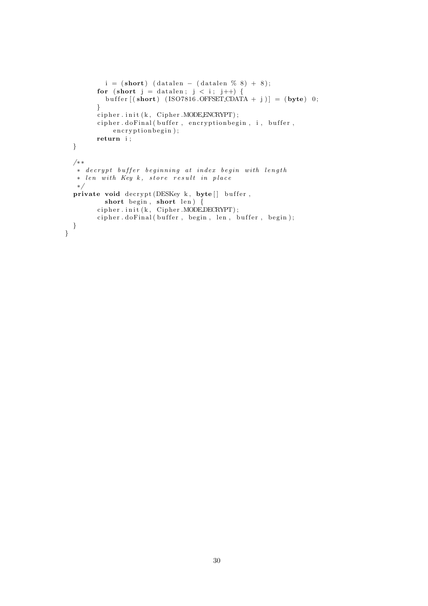```
i = (short) ( datalen – ( datalen % 8) + 8);
         for (short j = d atalen; j < i; j++) {
           buffer [( short ) (ISO7816 .OFFSET CDATA + j )] = (byte) 0;
         }
         cipher . init (k, Cipher . MODELNCRYPT);cipher.doFinal(buffer, encryptionbegin, i, buffer,
             \texttt{encryptionbegin};
         return i;
  }
  /∗ ∗
   \overleftrightarrow{e} ≠ decrypt buffer beginning at index begin with length
   ∗ len with Key k, store result in place
  ∗/
  private void decrypt (DESKey k, byte \lceil buffer,
            short\ begin, short len) {
         ci p h e r . i n i t ( k , Cipher .MODE DECRYPT) ;
         cipher.dofinal(buffer, begin, len, buffer, begin);}
}
```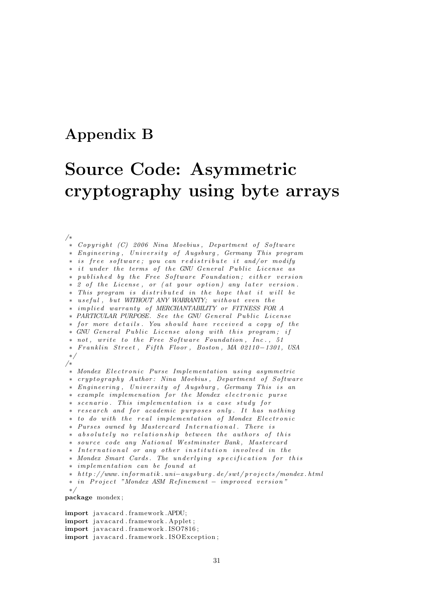### Appendix B

## Source Code: Asymmetric cryptography using byte arrays

/∗  $\ast$  Copyright (C) 2006 Nina Moebius, Department of Software ∗ Engineering, University of Augsburg, Germany This program ∗ is free software; you can redistribute it and/or modify ∗ it under the terms of the GNU General Public License as ∗ published by the Free Software Foundation; either version ∗ 2 of the License, or (at your option) any later version. ∗ This program is distributed in the hope that it will be ∗ useful, but WITHOUT ANY WARRANTY; without even the ∗ im p l i e d warran ty o f MERCHANTABILITY or FITNESS FOR A \* PARTICULAR PURPOSE. See the GNU General Public License ∗ for more details. You should have received a copy of the \* GNU General Public License along with this program; if \* not, write to the Free Software Foundation, Inc., 51 ∗ F r a n kl i n S t r e e t , F i f t h Floor , Boston , MA 02110−1301 , USA ∗/ /∗ ∗ Mondex E l e c t r o n i c Purse Im plemen t a t i on u s i n g asymme tr ic ∗ cryptography Author: Nina Moebius, Department of Software ∗ Eng ineer ing , U n i v e r s i t y o f Augsburg , Germany Th is i s an ∗ example implemenation for the Mondex electronic purse ∗ scenario. This implementation is a case study for \* research and for academic purposes only. It has nothing ∗ to do with the real implementation of Mondex Electronic ∗ Purses owned by Mas tercard I n t e r n a t i o n a l . There i s ∗ absolutely no relationship between the authors of this ∗ s o u r c e code any N a t i o n al Wes tm ins ter Bank , Mas tercard ∗ International or any other institution involved in the \* Mondex Smart Cards. The underlying specification for this ∗ im plemen t a t i on can be found a t ∗ h t t p : / /www . i n f o rm a t i k . un i−a ug sb u rg . de / sw t / p r o j e c t s /mondex . h tml ∗ in Project "Mondex ASM Refinement – improved version" ∗/ package mondex ;

import javacard.framework.APDU; import javacard.framework.Applet; import javacard.framework.ISO7816; import javacard.framework.ISOException;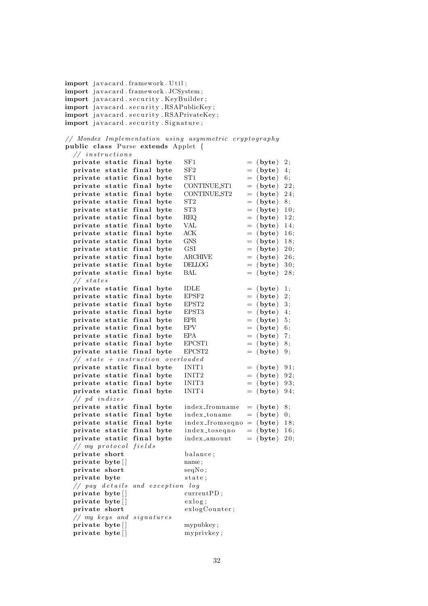```
import javacard.framework. Util:
import javacard.framework.JCSystem;
import javacard.security.KeyBuilder;
import javacard.security.RSAPublicKey;
import javacard.security.RSAPrivateKey;
import javacard.security. Signature;
// Mondex Implementation using asymmetric cryptography
public class Purse extends Applet {
  // instructions
  private static final byte SF1 = (byte) 2;
  private static final byte SF2 = (byte) 4;
  private static final byte ST1 = (byte) 6;
  private static final byte CONTINUEST1 = (byte) 22;private static final byte CONTINUEST2 = (byte) 24;
  private static final byte ST2 = (byte) 8;
  private static final byte ST3 = (byte) 10;
  private static final byte REQ = (byte) 12;
  private static final byte VAL = (byte) 14;<br>private static final byte ACK = (byte) 16;
  private static final byte ACK = (byte) 16;<br>private static final byte GNS = (byte) 18;
  private static final byte GNS
  private static final byte \text{GSI} = (byte) 20;<br>private static final byte \text{ARCHIVE} = (byte) 26;
  private static final byte ARCHIVE
  private static final byte DELLOG = (byte) 30;
  private static final byte BAL = (byte) 28;
  // states
  private static final byte IDLE = (byte) 1;
  private static final byte EPSF2 = (byte) 2;
  private static final byte EPST2 = (byte) 3;<br>private static final byte EPST3 = (byte) 4.
  private static final byte E\text{PST3} = (byte) 4;
  private static final byte EPR = (byte) 5;
  private static final byte EPV = (byte) 6;
  private static final byte EPA = (byte) 7;
  private static final byte EPCST1 = (byte) 8;
  private static final byte EPCST2 = (byte) 9;
  // state + instruction overloadedprivate static final byte INT1 = (byte) 91;
  private static final byte INIT2 = (byte) 92;
  private static final byte INIT3 = (byte) 93;
  private static final byte INIT4 = (byte) 94;
  // pd indizes<br>private static final byte
                            index_{from name} = (byte) 8;private static final byte index_toname = (byte) 0;
  private static final byte index_fromseqno = (\text{byte}) 18;
  private static final byte index_toseqno = (byte) 16;
  private static final byte index amount = (byte) 20;
  //<i>my</i> protocol fieldsprivate short balance:
  private byte [ ] name;
  private short seqNo;
  private byte state:
  // pay details and exception log
  private byte [ ] current PD;
  \text{private } \text{byte}[] exlog;
  private short exlogCounter;
  // my keys and signature sprivate byte [ ] mypubkey;
  private byte [ ] myprivkey;
```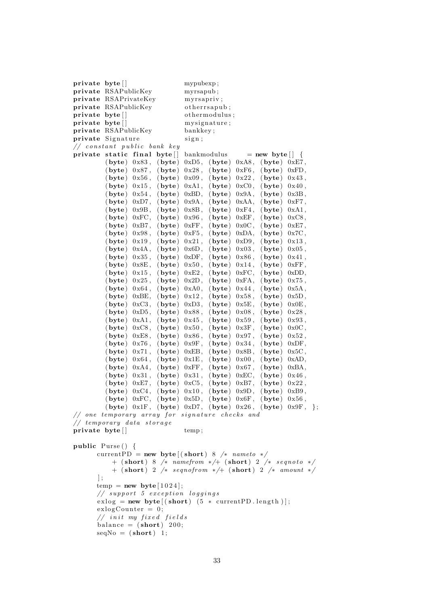private byte [ ] mypubexp; private RSAPublicKey myrsapub ; private RSAPrivateKey myrsapriv; private RSAPublicKey otherrsapub; private byte [ ] othermodulus ; private byte [ ] mysignature; private RSAPublicKey bankkey; private Signature sign;  $// constant public bank key$ private static final byte  $\vert$  bankmodulus = new byte  $\vert$  {  $(\text{byte})$  0x83,  $(\text{byte})$  0xD5,  $(\text{byte})$  0xA8,  $(\text{byte})$  0xE7,  $(\text{byte})$  0x87,  $(\text{byte})$  0x28,  $(\text{byte})$  0xF6,  $(\text{byte})$  0xFD, (byte)  $0x56$ , (byte)  $0x09$ , (byte)  $0x22$ , (byte)  $0x43$ ,  $(\text{byte})$   $0x15$ ,  $(\text{byte})$   $0xA1$ ,  $(\text{byte})$   $0xC0$ ,  $(\text{byte})$   $0x40$ ,  $(\text{byte})$   $0x54$ ,  $(\text{byte})$   $0xBB$ ,  $(\text{byte})$   $0x9A$ ,  $(\text{byte})$   $0x3B$ ,  $(\text{byte})$  0xD7,  $(\text{byte})$  0x9A,  $(\text{byte})$  0xAA,  $(\text{byte})$  0xF7,  $(\text{byte})$  0x9B,  $(\text{byte})$  0x8B,  $(\text{byte})$  0xF4,  $(\text{byte})$  0xA1,  $(\text{byte})$  0xFC,  $(\text{byte})$  0x96,  $(\text{byte})$  0xEF,  $(\text{byte})$  0xC8,  $(\text{byte})$  0xB7,  $(\text{byte})$  0xFF,  $(\text{byte})$  0x0C,  $(\text{byte})$  0xE7,  $(byte)$  0x98, (byte) 0xF5, (byte) 0xDA, (byte) 0x7C,  $(\text{byte})$  0x19,  $(\text{byte})$  0x21,  $(\text{byte})$  0xD9,  $(\text{byte})$  0x13,  $(\text{byte})$  0x4A,  $(\text{byte})$  0x6D,  $(\text{byte})$  0x03,  $(\text{byte})$  0x05,  $(\text{byte})$   $0x35$ ,  $(\text{byte})$   $0xDF$ ,  $(\text{byte})$   $0x86$ ,  $(\text{byte})$   $0x41$ ,  $(\text{byte})$  0x8E,  $(\text{byte})$  0x50,  $(\text{byte})$  0x14,  $(\text{byte})$  0xFF, (byte)  $0x15$ , (byte)  $0xE2$ , (byte)  $0xFC$ , (byte)  $0xDD$ ,  $(\text{byte})$   $0x25$ ,  $(\text{byte})$   $0x2D$ ,  $(\text{byte})$   $0xFA$ ,  $(\text{byte})$   $0x75$ ,  $(\text{byte})$  0x64,  $(\text{byte})$  0xA0,  $(\text{byte})$  0x44,  $(\text{byte})$  0x5A,  $(\text{byte})$  0xBE,  $(\text{byte})$  0x12,  $(\text{byte})$  0x58,  $(\text{byte})$  0x5D,  $(\text{byte})$  0xC3,  $(\text{byte})$  0xD3,  $(\text{byte})$  0x5E,  $(\text{byte})$  0x0E,  $(byte) 0xD5, (byte) 0x88, (byte) 0x08, (byte) 0x28,$  $(\text{byte})$  0xA1,  $(\text{byte})$  0x45,  $(\text{byte})$  0x59,  $(\text{byte})$  0x93, (byte)  $0xC8$ , (byte)  $0x50$ , (byte)  $0x3F$ , (byte)  $0x0C$ ,  $(\text{byte})$  0xE8,  $(\text{byte})$  0x86,  $(\text{byte})$  0x97,  $(\text{byte})$  0x52,  $(\textbf{byte})$  0x76,  $(\textbf{byte})$  0x9F,  $(\textbf{byte})$  0x34,  $(\textbf{byte})$  0xDF,  $(\text{byte})$  0x71,  $(\text{byte})$  0xEB,  $(\text{byte})$  0x8B,  $(\text{byte})$  0x5C,  $(\text{byte})$  0x64,  $(\text{byte})$  0x1E,  $(\text{byte})$  0x00,  $(\text{byte})$  0xAD,  $(\textbf{byte})$  0xA4,  $(\textbf{byte})$  0xFF,  $(\textbf{byte})$  0x67,  $(\textbf{byte})$  0xBA,  $(\text{byte})$   $0x31$ ,  $(\text{byte})$   $0x31$ ,  $(\text{byte})$   $0xEC$ ,  $(\text{byte})$   $0x46$ ,  $(byte)$  0xE7,  $(byte)$  0xC5,  $(byte)$  0xB7,  $(byte)$  0x22,  $(\text{byte})$  0xC4,  $(\text{byte})$  0x10,  $(\text{byte})$  0x9D,  $(\text{byte})$  0xB9,  $(\text{byte})$  0xFC,  $(\text{byte})$  0x5D,  $(\text{byte})$  0x6F,  $(\text{byte})$  0x56, (byte)  $0x1F$ , (byte)  $0xD7$ , (byte)  $0x26$ , (byte)  $0x9F$ , };  $\frac{1}{2}$  one temporary array for signature checks and  $//$  temporary data storage private byte [ ] temp; public Purse() { currentPD = new byte  $((short) 8$  /\* nameto \*/  $+$  (short) 8 /\* namefrom \*/+ (short) 2 /\* segnoto \*/ + (short) 2 /\* seqnofrom \*/+ (short) 2 /\* amount \*/  $\vert$  ;  $temp = new byte [1024];$  $// support 5 exception logging s$  $ext{exlog} = new byte [(short) (5 * currentPD.length)];$  $exlogCounter = 0$ ;  $//$  in it my fixed fields balance  $=$  (short) 200;  $seqNo = (short) 1;$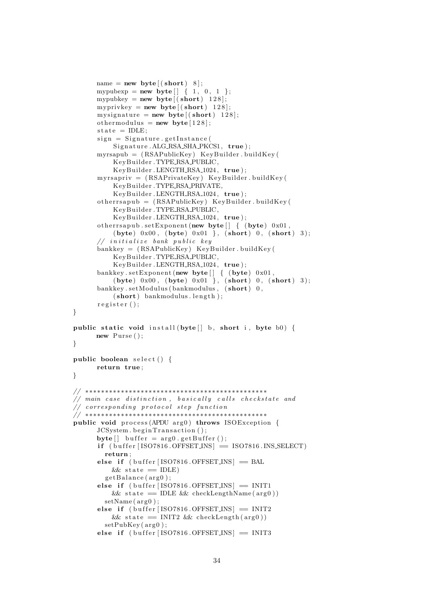```
name = new byte \left[ (short) 8 \right];
       mypubexp = new byte \begin{bmatrix} 1 & 0 & 1 \end{bmatrix};
       mypubkey = new byte ((short) 128);myprivkey = new byte ((short) 128);my signature = new byte ((short) 128);othermodulus = new byte [128];
       state = IDLE;
       sign = Signature.getInstance(Signature.ALG_RSA_SHA_PKCS1, true);
       myrsapub = ( RSAPublicKey ) KeyBuilder . buildKey (
            KeyBuilder . TYPE RSA PUBLIC,
            KeyBuilder.LENGTH_RSA_1024, true);
       myrsapriv = (RSAPrivateKey) KeyBuilder.buildKey(
            KeyBuilder . TYPE RSA PRIVATE,
            KeyBuilder.LENGTH_RSA_1024, true);
       otherwise otherrsapub = (RSAPublicKey) KeyBuilder . buildKey (
            KeyBuilder . TYPE RSA PUBLIC,
            KeyBuilder.LENGTH_RSA_1024, true);
       otherrsapub.setExponent (new byte \begin{bmatrix} \end{bmatrix} { (byte) 0x01,
            (\text{byte}) \space 0x00, \space (\text{byte}) \space 0x01 \space \}, \space (\text{short}) \space 0, \space (\text{short}) \space 3);// initialize bank public key
       bankkey = (RSAPublicKey) KeyBuilder.buidKey()KeyBuilder . TYPE RSA PUBLIC,
            KeyBuilder.LENGTH_RSA_1024, true);
       bankkey.setExponent (new byte \begin{bmatrix} \end{bmatrix} { (byte) 0x01,
            (byte) 0x00, (byte) 0x01}, (short) 0, (short) 3);
       bankkey . setModulus (bankmodulus, (short) 0,
            (\text{short}) bankmodulus . length );
       \texttt{register}();
public static void install (byte | \cdot | b, short i, byte b0) {
      new Purse ();
public boolean select() \{return true ;
// ∗∗∗∗∗∗∗∗∗∗∗∗∗∗∗∗∗∗∗∗∗∗∗∗∗∗∗∗∗∗∗∗∗∗∗∗∗∗∗∗∗∗∗∗∗∗
\frac{1}{\sqrt{2}} main case distinction, basically calls checkstate and
\frac{1}{2} corresponding protocol step function
// ∗∗∗∗∗∗∗∗∗∗∗∗∗∗∗∗∗∗∗∗∗∗∗∗∗∗∗∗∗∗∗∗∗∗∗∗∗∗∗∗∗∗∗∗∗∗
public void process (APDU arg0) throws ISOException {
       JCSystem. begin Transaction();
       \text{byte} [] buffer = \arg 0. get Buffer ();
       if ( buffer [ISO7816. OFFSET_INS] = ISO7816. INS_SELECT)
         return ;
       else if (\text{buffer} [ISO7816.OFFSETINS] = BAL&\& state = IDLE)
         getBalance (arg0);else if (buffer [ISO7816.OFFSETINS] = INIT1&& state == IDLE && checkLengthName (\text{arg0}))setName(arg0);else if (buffer [ISO7816.OFFSET_INS] = INIT2
           &\& state = INIT2 &\& checkLength (arg0))
         setPubKey(<math>arg0</math>);
       else if (\text{buffer} [ISO7816.OFFSETINS] = INIT3
```
}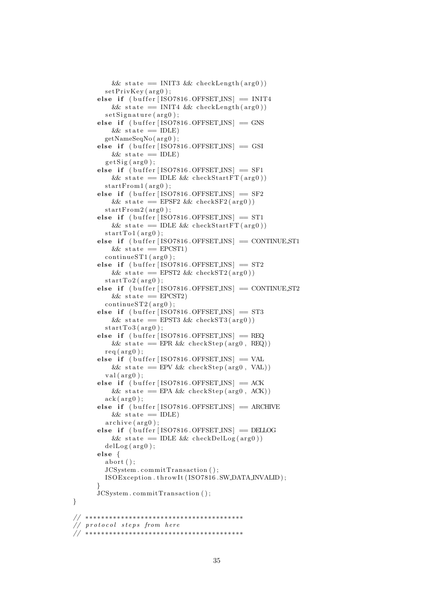```
& state = INIT3 & checkLength (\arg 0))setPrivKey(arg0);else if (buffer [ISO7816.OFFSETINS] = INIT4& state = INIT4 & checkLength (\arg 0))set Signature (arg0);
      else if (buffer [ISO7816.OFFSETINS] = GNS&\& state = IDLE)
        getNameSeqNo (arg0);else if (\text{buffer} [ISO7816.OFFSETINS] = GSI&\& state = IDLE)
        get Sig(arg0);else if (\text{buffer} [ISO7816.OFFSETINS] = SF1& state = IDLE & checkStartFT (\arg 0))
        startFrom1 (arg0);else if (buffer [ISO7816.OFFSETINS] = SF2& state = EPSF2 & checkSF2(arg(0))
        startFrom2 (arg0);else if (buffer [ISO7816.OFFSET_INS] = ST1
          & state = IDLE & checkStartFT (\text{arg0}))startTo1(arg0);else if (buffer [ISO7816.OFFSET_INS] = CONTINUE ST1
          &\& state = EPCST1)
        \text{continueST1} (\text{arg0}):else if (buffer [ISO7816.OFFSETINS] = ST2& state = EPST2 & checkST2(arg(0))
        startTo2(<math>arg0</math>);
      else if (buffer [ISO7816.OFFSET_INS] = CONTINUE ST2
          &\& state = EPCST2)
        \text{continueST2} (\text{arg0});
      else if (buffer [ISO7816.OFFSET_INS] = ST3
          & state = EPST3 & checkST3 (arg(0))
        startTo3(arg0);else if (buffer [ISO7816.OFFSETINS] = REQ&\& state = EPR &\& checkStep (arg0, REQ))
        rea ( are 0 ):
      else if (buffer [ISO7816.OFFSETINS] = VAL& state = EPV & checkStep (arg0, VAL))
        val(ar\epsilon 0):
      else if (buffer [ISO7816.OFFSET_INS] = ACK
          & state = EPA & checkStep (\arg 0, ACK))ack(\arg 0);else if (\text{buffer} [ISO7816.OFFSETINS] = ARCHIVE&\& state = IDLE)
        \archive(\arg 0);else if (\text{buffer} [ISO7816.OFFSETINS] = DELLOG& state = IDLE & checkDelLog(arg(0))
        delLog(arg0);
      else {
        abort() :
        JCSystem . commitTransaction ( ) ;
        ISOException . throw It (ISO 7816 . SW.DATA INVALID);
      }
      JCSystem . commitTransaction ( ) ;
// ∗∗∗∗∗∗∗∗∗∗∗∗∗∗∗∗∗∗∗∗∗∗∗∗∗∗∗∗∗∗∗∗∗∗∗∗∗∗∗∗
// protocol steps from here
// ∗∗∗∗∗∗∗∗∗∗∗∗∗∗∗∗∗∗∗∗∗∗∗∗∗∗∗∗∗∗∗∗∗∗∗∗∗∗∗∗
```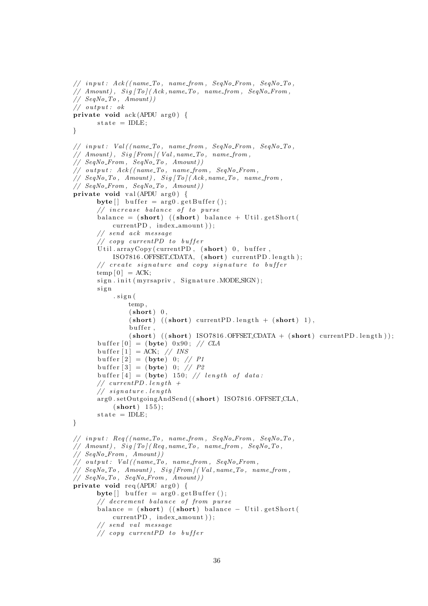```
// input: Ack/(name\_To, name\_from, SegNo\_From, SeqNo\_To,// Amount, Sig To (Ack, name\_To, name\_from, SegNo_From,// SegNo\_To, Amount))// output: ok
private void ack(APDU arg 0) {
      state = IDLE;}
// input: Val(fname\_To, name\_from, SegNo\_From, SegNo\_To,// Amount, Sig [From] (Val, name\_To, name\_from,// SegNo\_From, SegNo\_To, Amount)// output: Ack((name\_To, name\_from, SeqNo\_From,// SeqNo_To, Amount), Sig[To](Ack, name_To, name_from,
// SegNo_From, SegNo_To, Amount)private void val (APDU arg0) {
      byte[] buffer = arg0.getBuffer();
      // increase balance of to pursuebalance = (\text{short}) ((\text{short}) balance + Util.getShort (
           currentPD, index_amount ) );
      // send ack message
      \frac{1}{2} copy current PD to buffer
      Util. arrayCopy (currentPD, (short) 0, buffer,ISO7816.OFFSET\_CDATA, (short) current PD.length);// create signature and copy signature to buffertemp[0] = ACK;sign.init (myrsapriv, Signature.MODE_SIGN);
      sign
           . sign (temp ,
               (short) 0,
               (\text{short}) ((\text{short}) currentPD length + (\text{short}) 1),
               buffer,
               (\text{short}) ((\text{short}) ISO7816.OFFSET\_CDATA + (\text{short}) currentPD.length));
      buffer [0] = (byte) 0x90; // CLAbuffer |1| = ACK; // INS
      buffer [2] = (byte) 0; // P1buffer [3] = (byte) 0; // P2buffer [4] = (byte) 150; // length of data:// current PD.length +// signature. length
      arg0.setOutgoingAndSend((short) ISO7816.OFFSET_CLA,
           (short) 155;
      state = IDLE:
}
// input: Reg/(name\_To, name\_from, SegNo\_From, SeqNo\_To,// Amount, Sig To (Reg, name\_To, name\_from, SeqNo\_To,
// SegNo\_From, Amount))
// output: Val((name\_To, name\_from, SeqNo\_From,// SeqNo_To, Amount), Sig[From](Val, name_To, name_from,
// SegNo\_To, SegNo\_From, Amount))private void req (APDU arg 0) {
      \text{byte}[] \text{ buffer} = \arg 0 \text{ . getBuffer}();// decrement balance of from purse
      balance = (short) ((short) balance – Util.getShort (
          currentPD, index_a mount);
      // send val message// copy current PD to buffer
```

```
36
```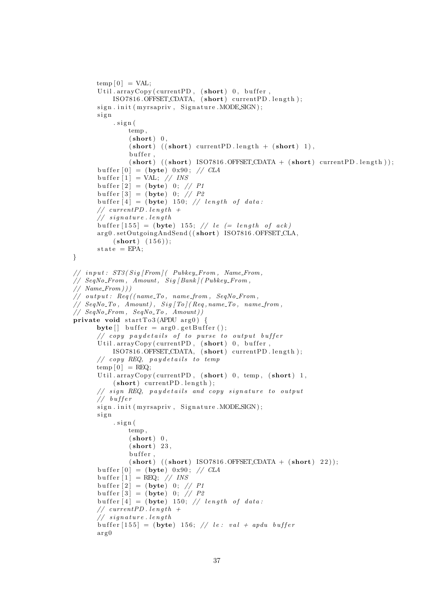```
temp[0] = VAL;
       Util.arrayCopy (currentPD, (short)) 0, buffer,
           ISO7816.OFFSET_CDATA, (short) currentPD length);
       sign.init (myrsapriv, Signature.MODESIGN);
       si g n
           . sign(temp ,
                (short) 0,
                (\text{short}) ((\text{short}) currentPD length + (\text{short}) 1),
                buffer,
                (\text{short}) ((\text{short}) ISO7816.OFFSET\_CDATA + (\text{short}) currentPD.length));
      buffer [0] = (byte) 0x90; // CLAbuffer [1] = VAL; // INS
       buffer \begin{bmatrix} 2 \end{bmatrix} = (byte) 0; // P1
       buffer [3] = (byte) 0; // P2buffer [4] = (byte) 150; // length of data:// currentPD.length +\frac{1}{\sqrt{2}} signature.length
      buffer [155] = (byte) 155; // le (= length of ack)arg0.setOutgoingAndSend((short) ISO7816.OFFSET_CLA,
           (short) (156);
      state = EPA:
}
// input: ST3(Sia|From|CPubkeu_F from, Name_F rom,// SeqNo_From, Amount, Sig(Bank)/Pubkey_From,
// Name_From))// output: Req ( (name\_To, name\_from, \;SeqNo\_From,// SeqNo\_To, Amount, Sig/To/(Reg, name\_To, name\_from,// SeqNo\_From, SeqNo\_To, Amount)
private void startTo3(APDU arg0) {
      \text{byte} [] buffer = arg0.getBuffer ();
       // copy paydetails of to purse to output buffer
       Util.arrayCopy (currentPD, (\text{short})), buffer,
           ISO7816.OFFSET\_CDATA, (short) current PD.length);// copy REQ, pay details to temptemp [0] = REQ;Util. arrayCopy ( current PD, ( short ) 0, temp, ( short ) 1,
           (short) current PD . length );// sign REQ, paydetails and copy signature to output
       // buffer
      sign.init (myrsapriv, Signature.MODESIGN);
      si g n
           . sign (temp ,
                (short) 0,
                (short) 23,
               buffer.
                (\text{short}) ((\text{short}) ISO7816.OFFSET\_CDATA + (\text{short}) 22));
      buffer [0] = (byte) 0x90; // CLAbuffer [1] = REQ; // INS
       buffer \begin{bmatrix} 2 \end{bmatrix} = (byte) 0; // P1
       buffer [3] = (byte) 0; // P2buffer [4] = (byte) 150; // length of data:// currentPD.length +// signature. length
      buffer [155] = (byte) 156; // let: val + apdu bufferarg 0
```

```
37
```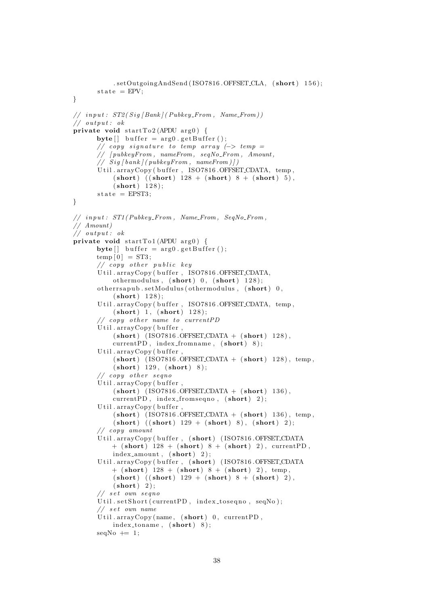```
. setOutgoingAndSend (ISO7816.OFFSET_CLA, (short) 156);
      \text{state} = \text{EPV};}
// input: ST2(Siq|Bank)/Pubkey_From, Name_From))// output: ok
private void startTo2(APDU arg0) {
      \text{byte} \left[ \right] buffer = \arg 0. get Buffer ();
      // copy signature to temp array (-> temp =// [ pubkeyFrom , nameFrom , seqNo From , Amount ,
      // Sig [bank] (pubkeyFrom, nameFrom)Util.arrayCopy (buffer, ISO7816.OFFSET_CDATA, temp,
           (\text{short}) ((\text{short}) 128 + (\text{short}) 8 + (\text{short}) 5),
           (short) 128);
       state = EPST3;
}
// input: ST1(Pubkey\_From, Name\_From, SeqNo\_From,// Amount )
\frac{1}{2} output: ok
private void startTo1(APDU arg0) {
      byte[] buffer = arg0.getBuffer();
      temp[0] = ST3;
       // copy other public keyUtil.arrayCopy (buffer, ISO7816.OFFSET_CDATA,
           othermodulus, (short) 0, (short) 128);
      otherrsapub.setModulus (othermodulus, (short) 0,
           (short) 128);
       Util.arrayCopy (buffer, ISO7816.OFFSET_CDATA, temp,
           (\text{short}) 1, (\text{short}) 128);// copy other name to current PDUtil.arrayCopy (buffer,
           (short) (ISO7816.OFFSET_CDATA + (short) 128),
           currentPD, index_fromname, (short) 8);
       Util.\,arrayConv( buffer.
           (short) (ISO7816.OFFSET_CDATA + (short) 128), temp,
           (short) 129, (short) 8);// copy other segnoUtil. arrayCopy (buffer .(short) (ISO7816.OFFSET.CDATA + (short) 136),
           currentPD, index_fromseqno, (short) 2);
       Util.arrayCopy(buffer,
           (\text{short}) (ISO7816.OFFSET_CDATA + (\text{short})) 136), temp.
           (\text{short}) ((\text{short}) 129 + (\text{short}) 8), (\text{short}) 2);
       // copy amount
       Util.arrayCopy (buffer, (short) (ISO7816.OFFSET_CDATA
           + (short) 128 + (short) 8 + (short) 2), current PD,
           index_amount, (short) 2);
       Util.arrayCopy (buffer, (short) (ISO7816.OFFSET_CDATA
           + (short) 128 + (short) 8 + (short) 2), temp,
           (\text{short}) ((\text{short}) 129 + (\text{short}) 8 + (\text{short}) 2),
           (short) 2);
       // set own seqnoUtil.setShort (currentPD, index_toseqno, seqNo);
       // set own nameUtil.arrayCopy(name, (short) 0, currentPD,
           index_toname, (short) 8);
      seqNo \models 1;
```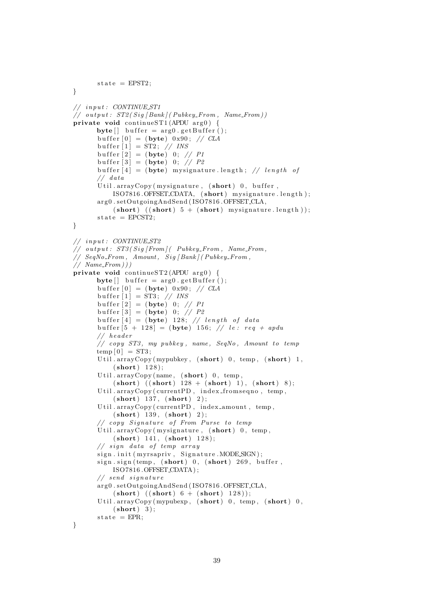```
state = EPST2:
}
// in put : CONTINUE_ST1
// output: ST2(Siq | Bank | (Pubkey_From, Name_From))private void continueST1 (APDU arg0) {
      byte[] buffer = arg0.getBuffer();
      buffer [0] = (byte) 0x90; // CLAbuffer [1] = ST2; // INS
      buffer [2] = (byte) 0; // P1buffer [3] = (byte) 0; // P2buffer [4] = (byte) mysignature length; // length of
      // data
      Util.arrayCopy (mysignature, (\text{short})) 0, buffer,
           ISO7816.OFFSET\_CDATA, (short) mysignature.length);
      arg0.setOutgoingAndSend(ISO7816.OFFSET_CLA,
           (\text{short}) ((\text{short}) 5 + (\text{short}) mysignature.length);
      state = EPCST2;
}
// in put : CONTINUE_ST2
\frac{1}{\sqrt{2}} output: ST3(Siq|From|(-Pubkey_From, Name_From,\frac{1}{\sqrt{2}} SeqNo_From, Amount, Sig [Bank] (Pubkey_From,
// Name_From))private void continueST2 (APDU \arg 0) {
      \text{byte} [ ] buffer = \arg 0. get Buffer ();
      buffer [0] = (byte) 0x90; // CLAbuffer [1] = ST3; // INS
      buffer [2] = (byte) 0; // P1buffer [3] = (byte) 0; // P2buffer [4] = (byte) 128; // length of databuffer [5 + 128] = (byte) 156; // le: req + apdu// he a der
      // copy ST3, my pubkey, name, SeqNo, Amount to temptemp[0] = ST3:
      Util . arrayCopy (mypubkey, (short) 0, temp, (short) 1,
           (short) 128);
      Util. arrayCopy(name, (short) 0, temp,(\text{short}) ((\text{short}) 128 + (\text{short}) 1), (\text{short}) 8);
      Util.arrayCopy ( currentPD, index_fromseqno, temp,
           (short) 137, (short) 2);Util.arrayCopy ( currentPD, index_amount, temp,
           (short) 139, (short) 2);// copy Signature of From Purse to tempUtil.arrayCopy (mysignature, (short)) 0, temp,
           (short) 141, (short) 128);
      // sign data of temp arraysign.init (myrsapriv, Signature.MODE.SIGN);
      sign \, . \, sign \, (temp \, , \, (short) \, 0 \, , \, (short) \, 269 \, , \, buffer \, ,ISO7816 .OFFSET CDATA ) ;
      // send signaturearg0.setOutgoingAndSend(ISO7816.OFFSET_CLA,
           (\text{short}) ((\text{short}) 6 + (\text{short}) 128);
      Util. arrayCopy (mypubexp, (short) 0, temp, (short) 0,
           (short) 3);
      state = EPR:
```

```
}
```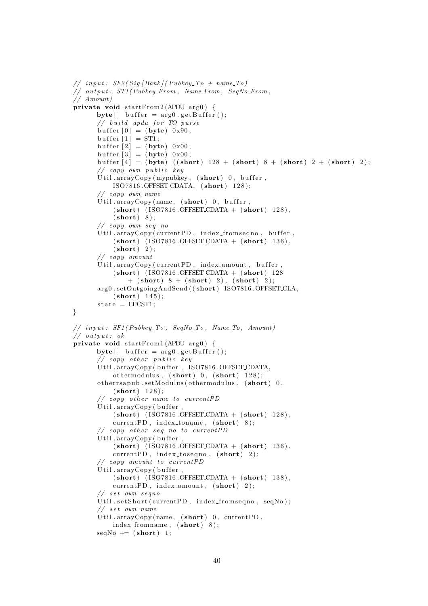```
// input: SF2(Siq|Bank| (PubkeyTo + nameTo)// output: ST1(Pubkey_F from, Name_F from, SeqNo_F from,// Amount )
private void startFrom2 (APDU arg0) {
      byte[] buffer = arg0.getBuffer();
      // build apdu for TO purse
      buffer [0] = (byte) 0x90;buffer [1] = ST1;buffer [2] = (byte) 0x00;buffer [3] = (byte) 0x00;buffer [4] = (byte) ((short) 128 + (short) 8 + (short) 2 + (short) 2);
      // copy own public keyUtil. arrayCopy (mypubkey, (short) 0, buffer,ISO7816.OFFSET\_CDATA, (short) 128);// copy own name
      Util.arrayCopy(name, (\text{short})) 0, buffer,
          (short) (ISO7816.OFFSET_CDATA + (short) 128),
          (short) 8:
      // copy own seq noUtil.arrayCopy ( currentPD, index_fromseqno, buffer,
          (short) (ISO7816.OFFSET_CDATA + (short) 136),
          (\text{short}) 2):
      // copy amount
      Util.arrayCopy ( currentPD, index_amount, buffer,
          (short) (ISO7816.OFFSET_CDATA + (short)) 128
              + (short) 8 + (short) 2), (short) 2);
      arg0.setOutgoingAndSend((short) ISO7816.OFFSET_CLA,
          (short) 145);
      state = EPCST1;}
// input: SF1 (Pubkey_To, SeqNo_To, Name_To, Amount)// output: okprivate void startFrom1 (APDU arg0) {
      byte[] buffer = arg0.getBuffer();
      // copy other public keyUtil.arrayCopy (buffer, ISO7816.OFFSET_CDATA,
          othermodulus, (\text{short}) 0, (\text{short}) 128);
      otherrsapub.setModulus (othermodulus, (short) 0,
          (short) 128);
      // copy other name to current PDU til . arrayCopy ( buffer
          (short) ( ISO7816 . OFFSET CDATA + (short) 128),
          currentPD, index_toname, (\text{short}) 8);
      // copy other seq no to current PDUtil.arrayCopy (buffer,(short) (ISO7816.OFFSET_CDATA + (short) 136),
          currentPD, index\_toseqno, (short) 2);
      // copy amount to current PDUtil. arrayCopy (buffer .)(short) ( ISO7816 . OFFSET CDATA + (short) 138),
          currentPD, index\_amount, (short) 2);
      // set own segnoUtil.setShort (currentPD, index_fromseqno, seqNo);
      // set own nameUtil.arrayCopy(name, (short) 0, currentPD,
          index from a me, (short) 8);
      seqNo \models (short) 1;
```

```
40
```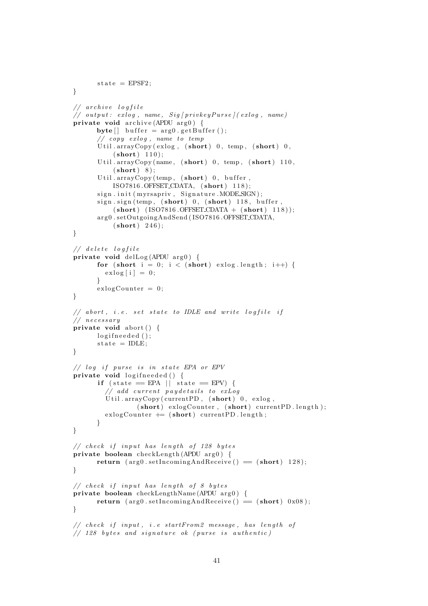```
state = EPSF2:
}
// archive lo a file
\frac{1}{\sqrt{2}} output: exlog, name, Sig \frac{1}{\sqrt{2}} privkey \frac{1}{\sqrt{2}} (exlog, name)
private void archive (APDU arg 0) {
      \text{byte} [] buffer = arg0.getBuffer ();
       // copy <i>exlog</i>, name to <i>temp</i>Util. arrayCopy (exlog, (short) 0, temp, (short) 0,(\text{short}) 110);Util.arrayCopy (name, (\text{short})) 0, temp, (\text{short}) 110,
           (short) 8 ;
       Util . arrayCopy (temp, (short) 0, buffer,ISO7816.OFFSET\_CDATA, (short) 118);sign.init (myrsapriv, Signature.MODESIGN);
       sign \, . \, sign \, (temp, (short) 0, (short) 118, buffer)(short) (ISO7816.OFFSET\_CDATA + (short) 118));arg0.setOutgoingAndSend(ISO7816.OFFSET_CDATA,
           (short) 246);
}
// de lete logfile
private void delLog (APDU arg0) {
      for (short i = 0; i < (short) exlog.length; i++) {
         exlog[i] = 0;
      }
      exlogCounter = 0;}
// abort, i.e. set state to IDLE and write logfile if
// necessary
private void abort () {
      logifneeded();
      state = IDLE;
}
// log if pursue is in state EPA or EPVprivate void logifneeded() {
      if (state = EPA || state = EPV) {
         // add current pay details to exLogUtil.arrayCopy (currentPD, (short) 0, exlog,
                  (\text{short}) exlogCounter, (\text{short}) currentPD length);
         exlogCounter \nightharpoonup = (short) currentPD.length;}
}
// check if input has length of 128 bytesprivate boolean checkLength (APDU arg0) {
      return (arg0. set Incoming And Receive () = (short) 128);
}
// check if input has length of 8 bytes
private boolean checkLengthName (APDU arg0) {
      return (arg0 . set IncomingAndReceive() = (short) 0x08);}
// check if input, i.e startFrom2 message, has length of
\frac{1}{28} bytes and signature ok (purse is authentic)
```

```
41
```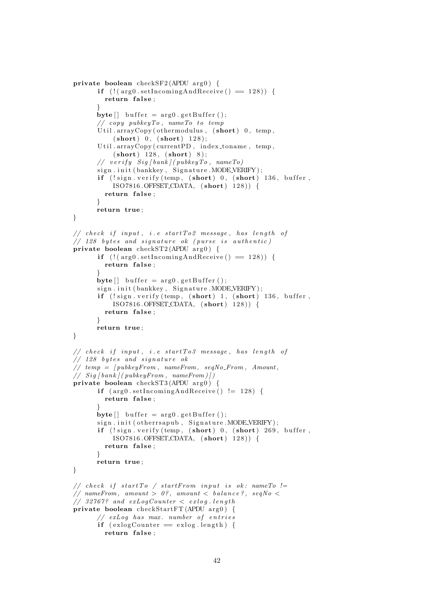```
private boolean checkSF2 (APDU arg0) {
        if (l (arg0.setIncomingAndReceive) = 128) {
          return false;
        }
       byte[] buffer = arg0.getBuffer();
        // copy\ public\ yTo\ ,\ nameTo\ to\ tempUtil.arrayCopy (othermodulus, (short)) 0, temp,
             (\text{short}) \; 0, \; (\text{short}) \; 128);Util.arrayCopy (\text{currentPD}, index_toname, temp,
             (short) 128, (short) 8);// verify Sig [bank] (pubkeyTo, nameTo)sign.init (bankkey, Signature .MODE_VERIFY);
        if (!sign. verify (temp, (short) 0, (short) 136, buffer,
             ISO7816.OFFSET\_CDATA, (short) 128) {
          return false;
        }
       return true ;
}
// check if input, i.e startTo2 message, has length of
\frac{1}{28} bytes and signature ok (purse is authentic)
private boolean checkST2 (APDU \arg 0) {
        if (|(arg0.setIncomingAndReceive() == 128))return false;
        }
       \text{byte} [ ] buffer = \arg 0. get Buffer ();
        sign.init (bankkey, Signature.MODE_VERIFY);
        if (!sign. verify(temp, (short) 1, (short) 136, buffer,ISO7816.OFFSET_CDATA, (short) 128)) {
          return false;
        }
       return true ;
}
// check if input, i.e startTo3 message, has length of
// 128 bytes and signature ok// temp = [pubkeyFrom, nameFrom, seqNo_From, Amount,\left( \frac{1}{\sqrt{2}} \int \frac{1}{\sqrt{2}} \frac{1}{\sqrt{2}} \left( \frac{1}{\sqrt{2}} \int \frac{1}{\sqrt{2}} \frac{1}{\sqrt{2}} \left( \frac{1}{\sqrt{2}} \int \frac{1}{\sqrt{2}} \frac{1}{\sqrt{2}} \int \frac{1}{\sqrt{2}} \frac{1}{\sqrt{2}} \int \frac{1}{\sqrt{2}} \frac{1}{\sqrt{2}} \frac{1}{\sqrt{2}} \int \frac{1}{\sqrt{2}} \frac{1}{\sqrt{2}} \frac{1}{\sqrt{2}} \int \frac{1}{\sqrt{2}} \frac{1}{\sqrt{2}} \frac{1}{\sqrtprivate boolean checkST3 (APDU arg0) {
        if (\arg 0.\setminus \text{setIncomingAndReceive}() \equiv 128)return false;
        }
       byte[] buffer = arg0.getBuffer();
        sign.init ( otherrsapub, Signature .MODE_VERIFY );
        if (!sign. verify(temp, (short) 0, (short) 269, buffer,ISO7816. OFFSET\_CDATA, (short) 128) {
          return false;
        }
       return true ;
}
// check if startTo / startFrom input is ok: nameTo !=
// nameFrom, amount > 0?, amount < balance?, seqNo <
// 32767? and exLogCounter < exlog. lengthprivate boolean checkStartFT (APDU arg0) {
        // ext{log} has max. number of entries
        if (exlogCounter == exlog.length) {
          return false;
```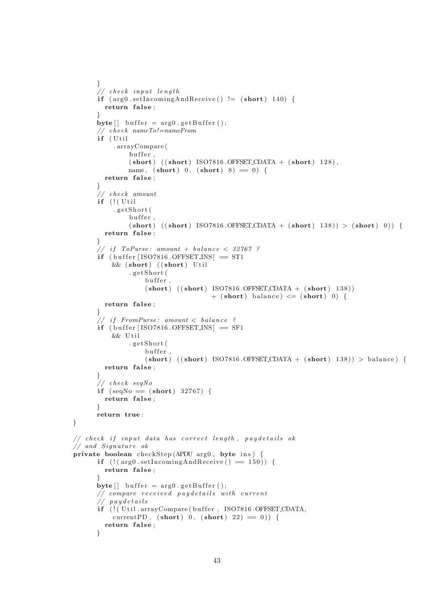```
}
       // check input lengthif (\arg 0.\setminus \text{setIncomingAndReceive}() \equiv (\text{short}) 140)return false;
       }
       byte[] buffer = arg0.getBuffer();
       // check nameTo! = nameFromif (Util
            . arrayCompare (
                buffer,
                (\text{short}) ((\text{short}) ISO7816. OFFSET_CDATA + (\text{short}) 128),
                name, (\text{short}) 0, (\text{short}) 8 = 0 {
         return false;
       }
       \mathcal{U}/\mathit{check} amount
       if ( ! ( Util
            . g e t S h o r t (
                buffer
                (\text{short}) ((\text{short}) ISO7816. OFFSET.CDATA + (\text{short}) 138)) > (\text{short}) 0) {
         return false;
       }
       \frac{1}{\sqrt{1+t}} if ToPurse: amount + balance < 32767 ?
       if ( buffer [ISO7816. OFFSET INS ] = ST1
           &\& (short) ((short) Util
                . g e t S h o r t (
                     buffer.
                     (short) ((short) ISO7816.OFFSET\_CDATA + (short) 138))+ (short) balance) \leq (short) 0) {
         return false;
       }
       // if FromPurse: amount < balance?
       if (buffer [ISO7816.OFFSET_INS] = SF1
           && Util
                . g e t S h o r t (
                     buffer.
                     (\text{short}) ((\text{short}) ISO7816.OFFSET.CDATA + (\text{short}) 138)) > balance) {
         return false;
       }
       // check seqNo
       if (seqNo \equiv (short) 32767)return false;
       }
      return true ;
// check if input data has correct length, paydetails ok
// and Signature ok
private boolean checkStep (APDU arg0, byte ins) {
       if ( ! (arg0. set Incoming And Receive () = 150) {
         return false;
       }
       byte [ buffer = arg0.getBuffer();
       // compare received pay details with current// paydetails
       if (! (Util . arrayCompare (buffer, ISO7816 . OFFSET_CDATA,
           currentPD, (short) 0, (short) 22 = 0) {
         return false;
       }
```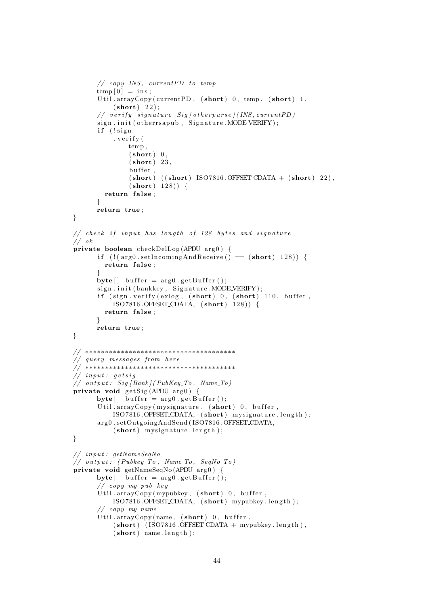```
// copy INS, currentPD to temp
      temp[0] = ins;Util.arrayCopy (currentPD, (\text{short})), temp, (\text{short})<sup>1</sup>,
           (short) 22);
      // verify signature Sig [otherwise] (INS, current PD)sign.init (otherrsapub, Signature.MODE_VERIFY);
       if (!sign
           . v e r i f y (
               temp ,
                (short) 0,
                (short) 23,
                buffer,
                (\text{short}) ((\text{short}) ISO7816. OFFSET_CDATA + (\text{short}) 22),
                (short) 128) {
         return false;
       }
      return true ;
}
// check if input has length of 128 bytes and signature// \; ok\sigma private boolean checkDelLog (APDU arg0) {
      if ( ! ( arg0. setIncomingAndReceive ( ) = (short ) 128) } {
        return false;
      }
      \text{byte} [ ] buffer = \arg 0. get Buffer ();
      sign.init (bankkey, Signature.MODE_VERIFY);
       if (sign. verify (exlog, (short) 0, (short) 110, buffer,ISO7816.OFFSET_CDATA, (short) 128)) {
        return false;
      }
      return true ;
}
// ∗∗∗∗∗∗∗∗∗∗∗∗∗∗∗∗∗∗∗∗∗∗∗∗∗∗∗∗∗∗∗∗∗∗∗∗∗∗
// query messages from here
// ∗∗∗∗∗∗∗∗∗∗∗∗∗∗∗∗∗∗∗∗∗∗∗∗∗∗∗∗∗∗∗∗∗∗∗∗∗∗
// input: getsig
\frac{1}{\sqrt{2}} output: Sig [Bank] (PubKey_To, Name_To)
private void gets Sig (APDU arg0) {
      byte \begin{bmatrix} \end{bmatrix} buffer = arg0. get Buffer ();
       Util.arrayCopy (mysignature, (\text{short})) 0, buffer,
           ISO7816.OFFSET_CDATA, (short) mysignature.length);
       arg0.setOutgoingAndSend(ISO7816.OFFSET_CDATA,
           (short) mysignature . length );}
// in put : getNameSeqNo
// output: (Pubkey\_To, Name\_To, SeqNo\_To)private void getNameSeqNo (APDU arg0) {
      byte[] buffer = arg0.getBuffer();
       // copy my pub key
       Util. arrayCopy (mypubkey, (short) 0, buffer,ISO7816.OFFSET_CDATA, (short) mypubkey.length);
       // copy my name
       Util. arrayCopy(name, (short) 0, buffer,(short) (ISO7816.OFFSET_CDATA + mypubkey.length),
           (short) name. length);
```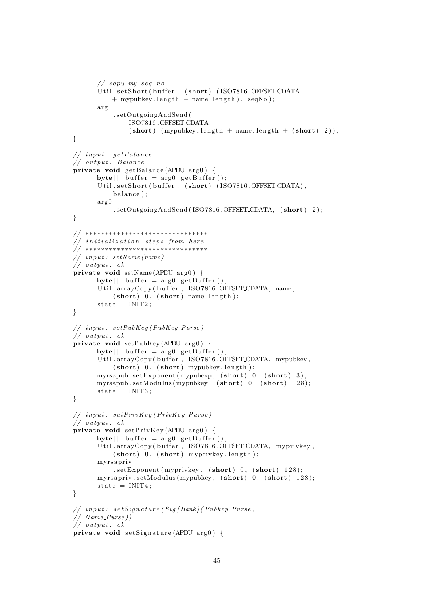```
// copy my seq noUtil.setShort (buffer, (short) (ISO7816.OFFSET_CDATA
           + mypubkey. length + name. length), seqNo);
      \arg 0. setOutgoingAndSend (
               ISO7816 .OFFSET CDATA,
               (\text{short}) (mypubkey length + name length + (\text{short}) 2));
}
// input: getBalance
// output: Balance
private void getBalance (APDU arg0) {
      byte [ buffer = arg0.getBuffer();
       Util.setShort (buffer, (short) (ISO7816.OFFSET_CDATA),
           balance);
      arg 0. setOutgoingAndSend (ISO7816.OFFSET_CDATA, (short) 2);
}
// ∗∗∗∗∗∗∗∗∗∗∗∗∗∗∗∗∗∗∗∗∗∗∗∗∗∗∗∗∗∗∗
\frac{1}{2} initialization steps from here
. .<br>// ∗∗∗********************************
\frac{1}{2} in put : set Name (name)
// output: ok
private void setName (APDU \arg 0) {
      byte [ buffer = arg0. get Buffer ();
       Util.arrayCopy (buffer, ISO7816.OFFSET_CDATA, name,
           (\text{short}) 0, (\text{short}) name.length);
      state = INIT2;}
// in put : setPubKey (PubKey_Purse)
// output: okprivate void setPubKey(APDU arg0) {
      byte | buffer = arg0. get Buffer ();
       Util.arrayCopy (buffer, ISO7816.OFFSET_CDATA, mypubkey,
           (\text{short}) 0, (\text{short}) mypubkey length);
      myrsapub.setExponent (mypubexp, (short) 0, (short) 3);
      myrsapub.setModulus (mypubkey, (short) 0, (short) 128);
      state = INIT3;}
// input: setPrivKey(PrivKey_Purse)\frac{1}{\sqrt{2}} output: ok
private void setPrivKey (APDU arg0) {
      \text{byte} [] buffer = \arg 0. get Buffer ();
       Util.arrayCopy (buffer, ISO7816.OFFSET_CDATA, myprivkey,
           (\text{short}) 0, (\text{short}) myprivkey length);
       myrsapriv
           s. setExponent (myprivkey, (short) 0, (short) 128);myrsapriv.setModulus (mypubkey, (short)), (short) 128;
      \text{state} = \text{INIT4};
}
// input: setSignature(Sig/Bank)/(Pubkey.Purse,
// Name_Purse )// output: okprivate void set Signature (APDU arg0) {
```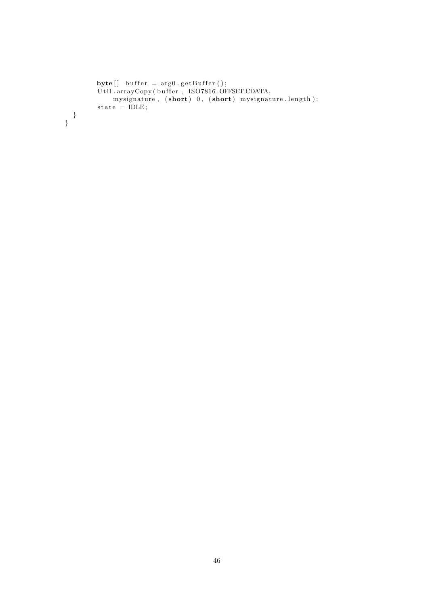```
\text{byte}[] \text{ buffer} = \arg 0.\text{ getBuffer}();Util . arrayCopy ( buffer ,   ISO7816 .OFFSET_CDATA,
                mysignature, (\textbf{short}) 0, (\textbf{short}) mysignature.length);
           state = IDLE;}
}
```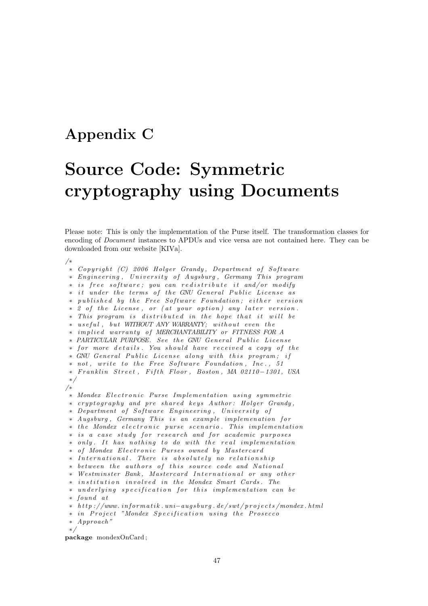### Appendix C

## Source Code: Symmetric cryptography using Documents

Please note: This is only the implementation of the Purse itself. The transformation classes for encoding of Document instances to APDUs and vice versa are not contained here. They can be downloaded from our website [KIVa].

/∗ \* Copyright (C) 2006 Holger Grandy, Department of Software ∗ Eng ineer ing , U n i v e r s i t y o f Augsburg , Germany Th is program  $\ast$  is free software; you can redistribute it and/or modify ∗ it under the terms of the GNU General Public License as ∗ published by the Free Software Foundation; either version ∗ 2 of the License, or (at your option) any later version.  $*$  This program is distributed in the hope that it will be ∗ useful, but WITHOUT ANY WARRANTY; without even the ∗ im p l i e d warran ty o f MERCHANTABILITY or FITNESS FOR A ∗ PARTICULAR PURPOSE. See the GNU General Public License \* for more details. You should have received a copy of the \* GNU General Public License along with this program; if \* not, write to the Free Software Foundation, Inc., 51 ∗ F r a n kl i n S t r e e t , F i f t h Floor , Boston , MA 02110−1301 , USA ∗/ /∗ ∗ Mondex E l e c t r o n i c Purse Im plemen t a t i on u s i n g symme tr ic \* cryptography and pre shared keys Author: Holger Grandy, ∗ Department of Software Engineering, University of ∗ Augsburg, Germany This is an example implemenation for \* the Mondex electronic purse scenario. This implementation ∗ is a case study for research and for academic purposes ∗ only. It has nothing to do with the real implementation ∗ o f Mondex E l e c t r o n i c Purses owned by Mas tercard \* International. There is absolutely no relationship \* between the authors of this source code and National ∗ Wes tm ins ter Bank , Mas tercard I n t e r n a t i o n a l or any o t h e r ∗ i n s t i t u t i o n i n v o l v e d in t h e Mondex Smart Cards . The ∗ underlying specification for this implementation can be ∗ found a t ∗ h t t p : / /www . i n f o rm a t i k . un i−a ug sb u rg . de / sw t / p r o j e c t s /mondex . h tml ∗ in Project "Mondex Specification using the Prosecco ∗ Approach " ∗/

package mondexOnCard ;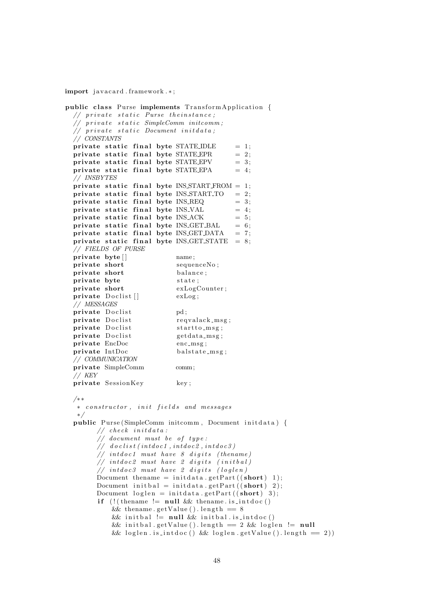import javacard . framework .\*;

```
public class Purse implements TransformApplication {
  // private static Purse theinstance;
  // private static SimpleComm initcomm;
  // private static Document initdata;
  // CONSTANTS
  private static final byte STATE_IDLE = 1;<br>private static final byte STATE_EPR = 2;
  private static final byte STATE EPR = 2;<br>private static final byte STATE EPV = 3;
  private static final byte STATE_EPV
  private static final byte STATEEPA = 4;
  // INSBYTES
  private static final byte INSSTARTFROM = 1;
  private static final byte INS\_START\_TO = 2;
  private static final byte INS_{n} = 3;
  private static final byte INS_VAL = 4;<br>private static final byte INS_ACK = 5;
  private static final byte INS_ACK
  private static final byte INS_GET_BAL = 6;<br>private static final byte INS_GET_DATA = 7;
  private static final byte INS_GET_DATA
  private static final byte INS\_GET\_STATE = 8;
  // FIELDS OF PURSE
  private byte [ ] mame;
  private short sequenceNo:
  private short balance:
  private byte state;
  private short exLogCounter;
  \textbf{private} \quad \text{Doclist} \left[ \right] \quad \text{exLog};// MESSAGES
  private Doclist pd;
  private Doclist reqvalack_msg;
  private Doclist startto_msg;
  private Doclist getdata_msg;<br>
private EncDoc enc_msg;
  private EncDoc
  \mathbf{private} \quad \mathbf{IntDoc} balstate_msg;
  // COMMUNICATION
  private SimpleComm comm;
  // KEY
  private SessionKey key;
  /∗ ∗
   ∗ c o n s t r u c t o r , i n i t f i e l d s and messages
   ∗/
  public Purse (SimpleComm initcomm, Document initdata) {
        // check <i>initial data</i> :// document must be of type:
        // doclist (intdoc1, intdoc2, intdoc3)
        // intdoc1 must have 8 digits (thename)
        // intdoc2 must have 2 digits (initbal)
        // intdoc<sub>3</sub> must have 2 digits (loglen)
        Document thename = initdata.getPart((short) 1);
        Document in it bal = init data.get Part ((short) 2);Document loglen = initialata.getPart((short) 3);if (l (thename l = null & thename . is intdoc ()
            & thename.getValue ().length = 8&& initbal != null && initbal. is intdoc()
            & init bal.getValue ().length = 2 & loglen != null
            & \& loglen . is int doc () & \& loglen . get Value () length = 2)
```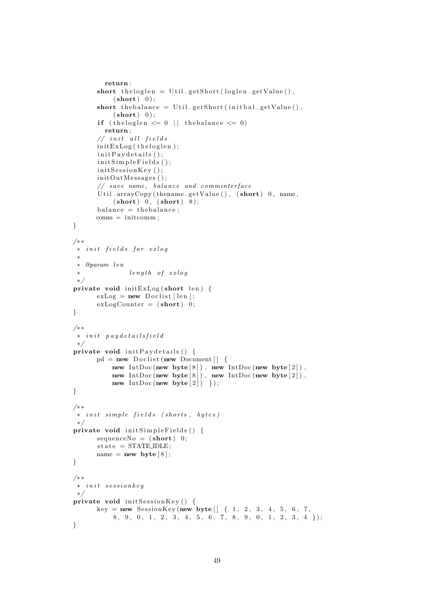```
return ;
      short the loglen = U til.get Short (loglen.getValue(),
           (short) 0 ;
      short the balance = Util.getShort(initbal.getValue(),
           (short) 0 ;
      if (the loglen \leq 0 | the balance \leq 0)
        return ;
      // in it all fields
      initExLog(theloglen);initPay details();init Simple Fields();
      initSessionKey();
      initOutMessages();
      // save name, balance and comminterface
      Util.arrayCopy (thename.getValue (), (\text{short})) 0, name,
           (\text{short}) 0, (\text{short}) 8);
      balance = the balance;comm = initcomm ;
}
/∗ ∗
* in it fields for exlog
 ∗
 ∗ @param l e n
 \ast length of exlog
 ∗/
private void initExLog(short \ len) {
      exLog = new \text{ Doclist} [len];exLogCounter = (short) 0;}
/∗ ∗
 ∗ i n i t p a y d e t a i l s f i e l d
 ∗/
private void \text{initP} avdetails () {
      pd = new \text{ Doclist (new Document)} \{new IntDoc(new byte[8]), new IntDoc(new byte[2]),
          new IntDoc (new byte [8]), new IntDoc (new byte [2]),
          new IntDoc (new byte [2]) });
}
/∗ ∗
* in it simple fields (shorts, butes)
∗/
private void init Simple Fields () {
      sequenceNo = (short) 0;
      state = STATEIDLE;
      name = new byte [8];
}
/∗ ∗
* in it sessionkey
 ∗/
private void initSessionKey() {
       key = new SessionKey(new byte[] { 1, 2, 3, 4, 5, 6, 7, }8, 9, 0, 1, 2, 3, 4, 5, 6, 7, 8, 9, 0, 1, 2, 3, 4 });
}
```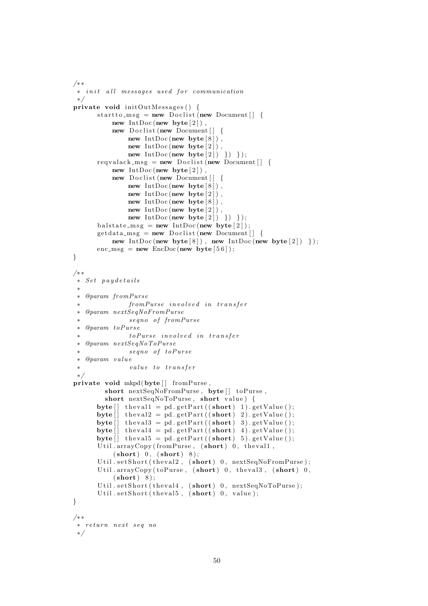```
/∗ ∗
 ∗ init all messages used for communication
 ∗/
private void \text{initOutMessages}() {
        startto_m s g = new \text{ Doclist (new Document)}new IntDoc (new byte [2]),
              new Doclist (new Document \begin{bmatrix} \end{bmatrix} {
                    new IntDoc (new byte [8]),
                    new IntDoc (new byte [2]),
                    new IntDoc (new byte [2]) }) });
        reqvalack_msg = new Doclist(new Document[] {new IntDoc (new byte [2]),
              new Doclist (new Document \begin{bmatrix} \end{bmatrix} {
                    new IntDoc (new byte [8]),
                    new IntDoc (new byte [2]),
                    new IntDoc (new byte [8]),
                    new IntDoc (new byte [2]),
                    new IntDoc (new byte[2]) }) });
         b al s t a t e m s g = new IntDoc (new byte [ 2 ] ) ;
         \text{getdata}-msg = new Doclist (new Document \begin{bmatrix} \end{bmatrix} {
              new IntDoc(new byte [8]), new IntDoc(new byte [2]) });
        enc\_{msg} = new\ EncDoc(new byte[56]);}
/∗ ∗
 \ast Set paydetails
 ∗
 ∗ @param fromPurse
                    fromPurse involved in transfer
 ∗ @param nextSeqNoFromPurse
                    seqno of fromPurse
 ∗ @param t oPu r se
                    toPurse involved in transfer
 ∗ @param nextSeqNoToPurse
                    segno of toPurse
 ∗ @param v a l u e
                    value to transfer
 ∗/
private void mkpd(byte [] fromPurse,
           short nextSeqNoFromPurse, byte [] toPurse,
           short nextSeqNoToPurse, short value) {
        byte [] the vall = pd. get Part ((short) 1). get Value ();byte [ the val 2 = pd. getPart ((short) 2). getValue ();byte [] the val3 = pd. getPart ((short) 3). getValue();byte \begin{bmatrix} \mathbf{j} & \mathbf{theval4} = \mathbf{pd}.\mathbf{getPart}((\mathbf{short}) \ 4).\mathbf{getValue}(\mathbf{)}\end{bmatrix}byte \begin{bmatrix} \mathbf{1} & \mathbf{1} & \mathbf{1} & \mathbf{1} & \mathbf{1} & \mathbf{1} & \mathbf{1} & \mathbf{1} & \mathbf{1} & \mathbf{1} & \mathbf{1} & \mathbf{1} & \mathbf{1} & \mathbf{1} & \mathbf{1} & \mathbf{1} & \mathbf{1} & \mathbf{1} & \mathbf{1} & \mathbf{1} & \mathbf{1} & \mathbf{1} & \mathbf{1} & \mathbf{1} & \mathbf{1} & \mathbf{1} & \mathbf{1} & \mathbf{1} & \mathbf{1} & \mathbf{Util.arrayCopy (fromPurse, (short)) 0, the vall,
              (\text{short}) 0, (\text{short}) 8);
         Util.setShort(theval2, (short) 0, nextSeqNoFromPurse);
         Util. arrayCopy (toPurse, (short) 0, theval3, (short) 0,
              (short) 8);Util.setShort(theval4, (short) 0, nextSeqNoToPurse);
         Util.setShort(theval5, (short) 0, value);
}
/∗ ∗
 ∗ r e t u r n n e x t s e q no
 ∗/
```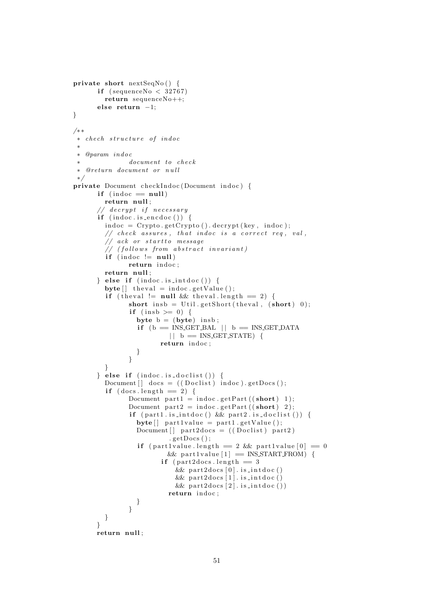```
private short nextSeqNo() {
       if (sequenceNo < 32767)
         return sequenceNo++;
       else return −1;
}
/∗ ∗
 ∗ chech s t r u c t u r e o f in d oc
 ∗
 ∗ @param in d oc
 ∗ document to check
 ∗ @re turn document or n u l l
 ∗/
private Document checkIndoc (Document indoc) {
       if (indoc == null)return null;
       // <i>decrypt</i> if <i>necessary</i>if (indoc.is\_encode())indoc = Crypto.getCrypto() . decrypt( key, indoc);// check assures, that indoc is a correct req, val,
         // ack or startto message
          \frac{1}{\sqrt{2}} (follows from abstract invariant)
         if (indoc != null)
                 return indoc;
         return null:
       \} else if (indoc. is_intdoc()) {
         \text{byte} [] the val = indoc.getValue ();
          if (the val != null && the val. length == 2) {
                 short insb = Util.getShort(theval, (\text{short}) 0);
                 if (insb \geq 0) {
                   byte b = (byte) insb;
                    if (b = INS.CET.BAL || b = INS.CET.DATA)| \; | \; b \; \equiv \; \text{INS\_GET\_STATE} \; |return indoc;
                   }
                 }
          }
       \} else if (indoc. is_doclist()) {
         Document \begin{bmatrix} \end{bmatrix} docs = ((\text{Doclist}) \text{indoc}) \cdot \text{getDocs}();
          if (docs.length == 2) {
                 Document part 1 = \text{indoc.getPart}((\text{short}) 1);Document part 2 = \text{indoc.getPart}((\text{short}) \ 2);if ( part1. is_intdoc () & part2. is_doclist()) {
                   byte \begin{bmatrix} \cdot & \cdot & \cdot \\ \cdot & \cdot & \cdot \\ \cdot & \cdot & \cdot \end{bmatrix} part 1 . get Value ();
                   Document [ part2docs = (( Doclist ) part2).getDoes():if ( part 1 value . length = 2 \& part 1 value [0] = 0& part 1 value [1] = INS START FROM) {
                           if (part2docs.length = 3& part 2docs [0]. is int doc()& part2 docs [1]. is _int doc()
                                & part 2docs [2]. is int doc ())
                             return indoc;
                   }
                 }
         }
       }
       return null;
```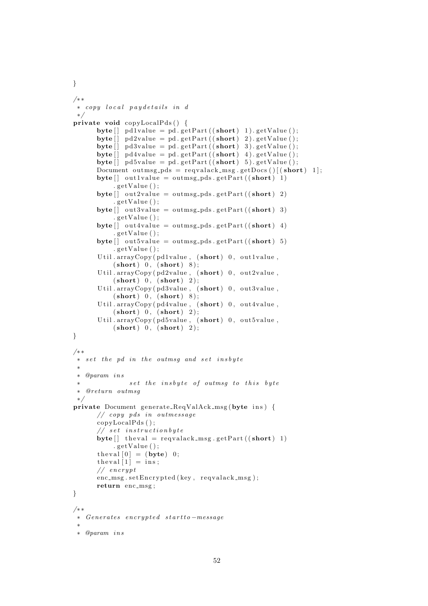```
/∗ ∗
 ∗ copy l o c a l p a y d e t a i l s in d
 ∗/
private void copyLocalPds ( ) {
       \text{byte}[] \text{pdlvalue} = \text{pd.getPart}((\text{short}) 1). \text{getValue}();byte [] pd2value = pd. getPart ((short) 2). getValue ();
       byte [] pd3value = pd. getPart ((short) 3). getValue ();
       byte [] pd4value = pd. getPart ((short) 4). getValue ();byte [] pd5value = pd. getPart ((short) 5). getValue ();Document outmsg_pds = reqvalack_msg.getDocs()[(\text{short}) 1];byte[] out1 value = outmsg-pds.getPart((short) 1). get Value ( );
       \text{byte} [ ] out 2 v alue = outmsg_pds . get P art ((short) 2)
            . getValue();
       byte [ out 3 value = outmsg_pds . get Part (( short ) 3)
            . get Value ( );
       byte[] out4 value = outmsg-pds.getPart((short) 4). getValue();
       byte \begin{bmatrix} \end{bmatrix} out 5 value = outmsg_pds . get Part ((short) 5). get Value():
       Util.arrayCopy(pd1value, (short) 0, out1value,
            (\text{short}) 0, (\text{short}) 8);
       Util.arrayCopy (pd2value, (short) 0, out2value,
            (\text{short}) 0, (\text{short}) 2);
       Util.arrayCopy (pd3value, (short) 0, out3value,
            (\text{short}) 0, (\text{short}) 8);
       Util.arrayCopy (pd4value, (short) 0, out4value,
            (\text{short}) 0, (\text{short}) 2);
       Util.arrayCopy (pd5value, (\text{short}) 0, out5value,
            (\text{short}) 0, (\text{short}) 2);
}
/∗ ∗
 ∗ set the pd in the outmsq and set insbyte
 ∗
 ∗ @param i n s
                 set the insbyte of outmsg to this byte
 ∗ @re turn outmsg
 ∗/
private Document generate_ReqValAck_msg(byte ins) {
       // copy pds in ou tmessage
       copyLocalPds ( ) ;
       // set <i>instructor</i> by <math>t \inbyte [] the val = requalack_msg.getPart ((short) 1).getValue():
       theval [0] = (byte) 0;theval [1] = ins;
       // encrypt
       enc\_{msg}.\set{Entropyted(key, request_{msg});}return enc_msg;
}
/∗ ∗
∗ Genera tes e n c ry p t e d s t a r t t o −message
 ∗
 ∗ @param i n s
```

```
52
```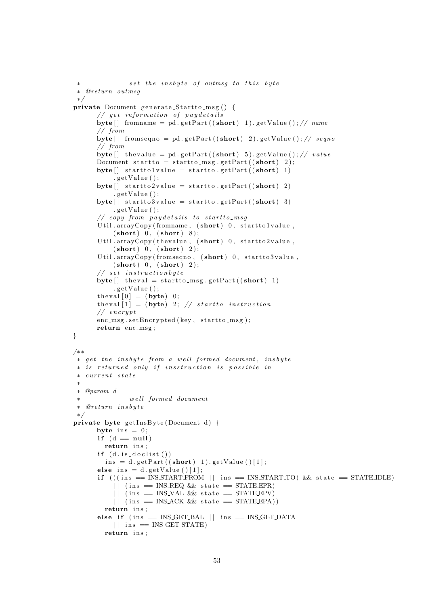```
set the insbyte of outmsq to this byte
 ∗ @re turn outmsg
 ∗/
private Document generate_Startto_msg() {
       // get information of pay detailsbyte \lceil \cdot \rceil from a me = pd . get Part (( short) 1) . get Value ( ) ; // name
       // from
      byte [] fromseqno = pd. getPart ((short) 2). getValue (); // seqno// from
      byte [ the value = pd. getPart (( short ) 5). getValue ( )// value
      Document startto = startto_msg.getPart((\text{short}) 2);
      byte [] starttolvalue = startto.getPart ((short) 1). get Value ( ) ;byte [] startto 2 value = startto . getPart ((short) 2).getValue():
      byte \begin{bmatrix} \cdot & \cdot & \cdot \\ \cdot & \cdot & \cdot \\ \cdot & \cdot & \cdot \end{bmatrix} startto . getPart ((short) 3)
            .getValue();// copy from pay details to start to msgUtil. arrayCopy (from name, (short) 0, start to 1 value,(\text{short}) 0, (\text{short}) 8);
       Util. arrayCopy (the value, (short) 0, start to 2 value,(\text{short}) 0, (\text{short}) 2);
       Util. arrayCopy (fromseqno, (short) 0, start to 3 value,(\text{short}) 0, (\text{short}) 2);
       // set instruction by te
       \text{byte} [ ] the val = start to_msg.get Part ((short) 1)
           .getValue();
       theval [0] = (byte) 0;theval [1] = (byte) 2; // station instruction// encrypt
      enc\_{msg}.\set{Entropyted(key, startto\_{msg});}return enc_msg;
}
/∗ ∗
 ∗ get the insbyte from a well formed document, insbyte
 * is returned only if insstruction is possible in
 ∗ c u r r e n t s t a t e
 ∗
 ∗ @param d
                we\,ll\,for med\,~~document∗ @re turn i n s b y t e
 ∗/
private byte getInsByte(Document d) {
      byte ins = 0:
       if (d = null)return ins:
       if (d.is_doclist())ins = d.getPart ((short) 1).getValue () [1];
       else ins = d.getValue () [1];
       if (((ins = INSSTART FROM || ins = INSSTARTTO) \& state = STATEIDLE)|| (ins = INS_REQ && state = STATE_EPR)
            || (ins = INS_VAL & state = STATE EPV)
            || (ins = INS_ACK && state = STATE_EPA))
         return ins;
       else if (ins = INS.GET_BAL || ins = INS.GET_DATA)|| ins = INS GET STATE)
         return ins;
```

```
53
```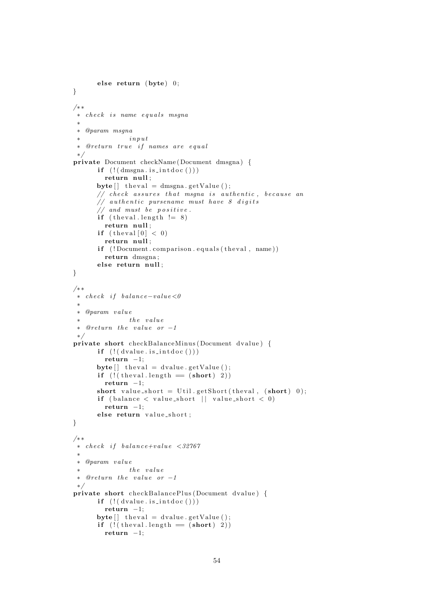```
else return (\text{byte}) 0;
}
/∗ ∗
 ∗ check is name equals msqna
 ∗
 ∗ @param msgna
 \dot{x} in p u t
 ∗ @re turn t r u e i f names are e q u a l
 ∗/
private Document checkName ( Document dmsgna ) {
       if (!(dmsgna.is-intdoc())return null;
       byte \begin{bmatrix} \end{bmatrix} the val = dmsgna . get V alue ();
       // check assures that msgna is authentic, because an
       // authentic pursename must have 8 digits
       // and must be positive.
       if (t \text{heval.length} != 8)return null;
       if (the val [0] < 0)return null;
       if (!Document.comparison.equals(the val. name))
         return dmsgna ;
       else return null;
}
/∗ ∗
 \ast check if balance-value<0
 ∗
 ∗ @param v a l u e
 \ast the value
 \ast @return the value or -1∗/
private short checkBalanceMinus (Document dvalue) {
       if \left( \left( \left( \frac{1}{2} \right)^n \right)return -1;
       \text{byte} [] the val = d value . get V alue ();
       if (!( theval. length = (short) 2))return -1;
       short value_short = Util.getShort(theval, (\text{short}) 0);
       if (balance \langle value_short || value_short \langle 0)
         return -1;
       else return value_short:
}
/∗ ∗
 \ast check if balance+value <32767
 ∗
 ∗ @param v a l u e
 \ast the value
 \ast @return the value or -1∗/
private short checkBalancePlus (Document dvalue) {
       if ( ! ( dvalue.is\_intdoc ( ) ) )return -1;
       byte \begin{bmatrix} \end{bmatrix} the value = d value . get V alue ( ) ;
       if (l ( theval length = (short) 2))
         return -1;
```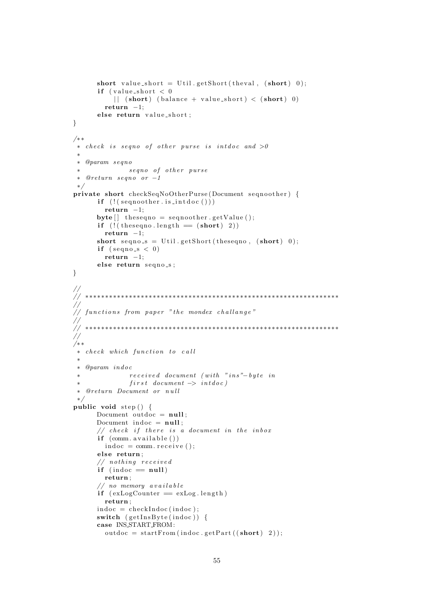```
short value_short = Util.getShort(theval, (\text{short}) 0);
         if (value_short < 0|| (short) (balance + value_short) < (short) 0)
            return -1;
         else return value_short;
}
/∗ ∗
 \ast check is seqno of other purse is intdoc and >0∗
 ∗ @param seqno
 ∗ seqno of other purse
 ∗ @re turn seqno or −1
 ∗/
private short checkSeqNoOtherPurse (Document seqnoother) {
         if (!(\varepsilon) \in \mathcal{S} \text{ is } s \text{ is } \text{ is } s \text{ is } s \text{ is } s \text{ is } s \text{ is } s \text{ is } s \text{ is } s \text{ is } s \text{ is } s \text{ is } s \text{ is } s \text{ is } s \text{ is } s \text{ is } s \text{ is } s \text{ is } s \text{ is } s \text{ is } s \text{ is } s \text{ is } s \text{ is } s \text{ is } s \text{ is } s \text{ is } s \text{ is } s \text{ is } s \text{ is } s \text{ is } s \text{ is } s \text{ is } s \text{ is } s \text{ is } s \return -1;
         byte \begin{bmatrix} \end{bmatrix} the sequence = sequested between equation that \begin{bmatrix} \end{bmatrix};
         if (l ( the sequence length = (\text{short}) 2))
           return -1;
         short seqno_s = Util.getShort(theseqno, (short) 0);
         if (\text{seqno}_s < 0)return -1;
         else return segno_s;
}
//
                                          // ∗∗∗∗∗∗∗∗∗∗∗∗∗∗∗∗∗∗∗∗∗∗∗∗∗∗∗∗∗∗∗∗∗∗∗∗∗∗∗∗∗∗∗∗∗∗∗∗∗∗∗∗∗∗∗∗∗∗∗∗∗∗∗∗
//
    functions from paper "the mondex challange"
//
                  // ∗∗∗∗∗∗∗∗∗∗∗∗∗∗∗∗∗∗∗∗∗∗∗∗∗∗∗∗∗∗∗∗∗∗∗∗∗∗∗∗∗∗∗∗∗∗∗∗∗∗∗∗∗∗∗∗∗∗∗∗∗∗∗∗
//
/∗ ∗
 ∗ check which function to call
  ∗
 ∗ @param in d oc
                     re\,e\,e\,i\,ve\,d document (with "ins"-byte in
                     first\ document \ \text{~} x \text{~} int doc)∗ @re turn Document or n u l l
 ∗/
public void step() {
         Document outdoc = null:
         Document indoc = null;// check if there is a document in the inboxif (comm. available())indoc = comm. \nreceive();
         else return;
         // nothing receivedif (indoc = null)
           return ;
         // no memory availableif (exLogCounter = exLog.length)return ;
         indoc = checkIndoc (indoc);switch (gethnByte(intdoc)) {
         case INS START FROM:
            outdoc = startFrom(intdoc.getPart((short) 2));
```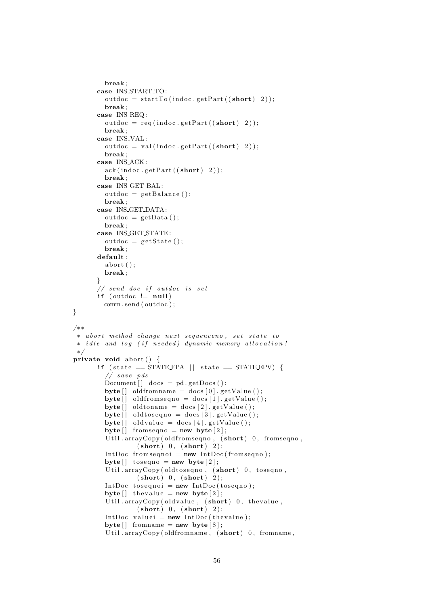```
break ;
         case INS START TO :
            outdoc = startTo (indoc.getPart ((short) 2));break ;
         case INS REQ :
            outdoc = req(intdoc.getPart((short) 2));break ;
         case INS<sub>-VAL</sub>:
            outdoc = val(indoc.getPart((short) 2));break ;
         case INS ACK :
            ack(intdoc.getPart((short) 2));break ;
         case INS GET BAL :
            outdoc = getBalance();break ;
         case INS GET DATA:
            outdoc = getData();
            break ;
         case INS GET STATE :
            outdoc = getState();break ;
         default:
            abort () :
            break ;
         }
         // send doc if outdoc is set
         if (outdoc != null)
            comm. send ( outdoc ) ;
}
/∗ ∗
 * abort method change next sequenceno, set state to
 ∗ idle and log (if needed) dynamic memory allocation!
 ∗/
private void abort () {
          if (state = STATE EPA || state = STATE EPV) {
             // s ave pds
            Document \begin{bmatrix} \end{bmatrix} docs = pd. getDocs ();
            byte \begin{bmatrix} \cdot & \cdot & \cdot \\ \cdot & \cdot & \cdot \\ \cdot & \cdot & \cdot \end{bmatrix} oldfromname = docs \begin{bmatrix} 0 \\ \cdot & \cdot \\ \cdot & \cdot \end{bmatrix}. getValue ();
            \text{byte}[\ ] old from sequently does [1]. get Value ();
            byte \begin{bmatrix} \end{bmatrix} oldtoname = docs \begin{bmatrix} 2 \end{bmatrix}. getValue ();
            byte \begin{bmatrix} \cdot & \cdot & \cdot \\ \cdot & \cdot & \cdot \\ \cdot & \cdot & \cdot \end{bmatrix} oldtoseqno = docs \begin{bmatrix} 3 \\ \cdot & \cdot \end{bmatrix}. getValue ();
            byte \begin{bmatrix} \cdot & \cdot & \cdot \\ \cdot & \cdot & \cdot \\ \cdot & \cdot & \cdot \end{bmatrix} oldvalue = docs \begin{bmatrix} 4 & \cdot & \cdot \\ \cdot & \cdot & \cdot \end{bmatrix} . getValue ();
            byte [ fromseqno = new byte [2];
             Util . arrayCopy ( old from seqno, (short) 0, from seqno,
                          (\text{short}) 0, (\text{short}) 2);
            IntDoc from sequoi = new IntDoc(from sequo);
            byte \begin{bmatrix} \end{bmatrix} to seq no = new byte \begin{bmatrix} 2 \end{bmatrix};
             Util.arrayCopy(oldtoseqno, (short) 0, toseqno,
                         (\text{short}) 0, (\text{short}) 2);
            IntDoc to sequoi = new IntDoc (to sequo);
            byte [ the value = new byte [2];
             Util.arrayCopy(oldvalue, (short) 0, thevalue,
                         (\text{short}) 0, (\text{short}) 2);
            IntDoc valuei = new IntDoc(thevalue);
            \text{byte} \left[ \right] from \text{name} = \text{new} \text{ byte} \left[ 8 \right];
             Util . arrayCopy ( oldfromname, (short) 0, fromname,
```

```
56
```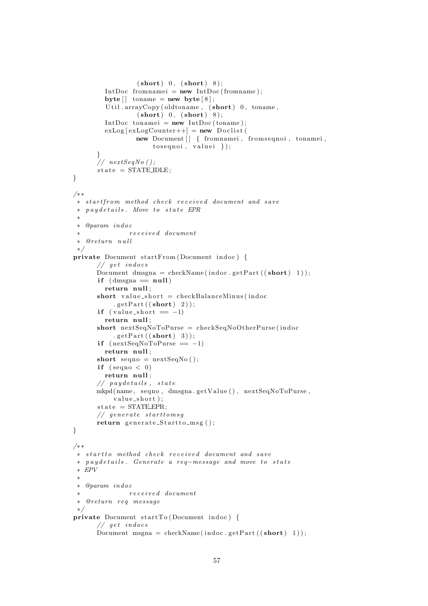```
(\text{short}) 0, (\text{short}) 8);
         IntDoc fromnamei = new IntDoc (fromname);
         byte \begin{bmatrix} \end{bmatrix} toname = new byte \begin{bmatrix} 8 \end{bmatrix};
         Util.arrayCopy (oldtoname, (short) 0, toname,
                  (\text{short}) 0, (\text{short}) 8);
         IntDoc tonamei = new IntDoc (toname);
         exLog [exLogCounter++] = new Doclist (new Document [] { fromnamei, fromseqnoi, tonamei,
                       toseqnoi, valuei.);
       }
      // nextSeqNo ();state = STATEIDLE;
}
/∗ ∗
 ∗ s t a r t f r om method c heck r e c e i v e d document and s ave
 ∗ p a y d e t a i l s . Move t o s t a t e EPR
 ∗
 ∗ @param in d oc
 ∗ r e c e i v e d document
 ∗ @re turn n u l l
 ∗/
private Document startFrom (Document indoc) {
       // get <i>indocsDocument dmsgna = checkName(indoc.getPart((short) 1));
       if (dmsgna = null)return null;
       short value_short = checkBalanceMinus (indoc
           .getPart((short) 2));if (value\_short == -1)
         return null;
      short nextSeqNoToPurse = checkSeqNoOtherPurse (indoc
           .getPart((short) 3));if (nextSeqNoToPurse = -1)return null:
      short seqno = nextSeqNo();
       if (\text{seqno} < 0)return null;
       // paydetails, state
      mkpd(name, seqno, dmsgna.getValue(), nextSeqNoToPurse,
           value\_short );
       state = STATE\_EPR;// generate starttomsq
      return generate_Startto_msg();
}
/∗ ∗
 ∗ s t a r t t o method c heck r e c e i v e d document and s ave
 ∗ p a y d e t a i l s . Genera te a req−message and move t o s t a t e
 ∗ EPV
 ∗
 ∗ @param in d oc
 ∗ r e c e i v e d document
 ∗ @re turn r e q message
 ∗/
private Document startTo (Document indoc) {
       // get <i>indocsDocument msgna = checkName(indoc.getPart((\text{short}) 1));
```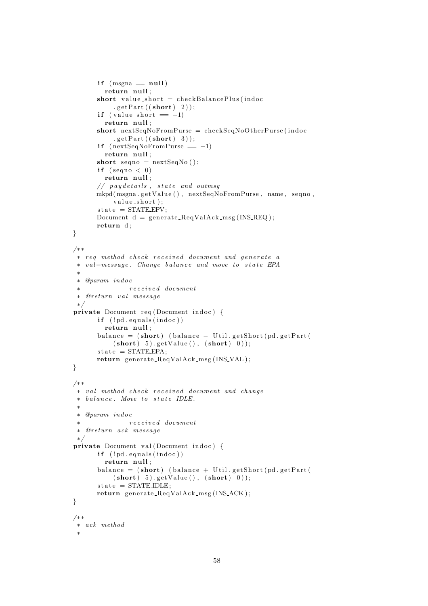```
if (msgna == null)return null;
      short value_short = checkBalancePlus (indoc
           .getPart((short) 2));if (v \text{alue} = -1)return null;
      short nextSeqNoFromPurse = checkSeqNoOtherPurse (indoc
           .getPart((short) 3));if (nextSeqNoFromPurse = -1)return null;
      short seqno = nextSeqNo();
      if (\text{seqno} < 0)return null;
       // paydetails, state and outmsa
      mkpd(msgna.getValue(), nextSeqNoFromPurse, name, seqno,
           value\_short );
       state = STATE\_EPV;Document d = generate_ReqValAck_msg(INS_REQ);
      return d;
}
/∗ ∗
 ∗ req method check received document and generate a
 ∗ v al−message . Change b al a n c e and move t o s t a t e EPA
 ∗
 ∗ @param in d oc
 ∗ r e c e i v e d document
 ∗ @re turn v a l message
 ∗/
private Document req (Document indoc) {
      if (!pd.equals(intdoc))return null;
      b alance = (short) (balance - Util . getShort (pd . getPart (
           (\textbf{short}) \quad 5). \text{getValue}(), (\textbf{short}) \quad 0));state = STATEEPA;
      return generate_ReqValAck_msg(INS_VAL);
}
/∗ ∗
 ∗ val method check received document and change
 ∗ balance. Move to state IDLE.
 ∗
 ∗ @param in d oc
 ∗ r e c e i v e d document
 ∗ @re turn ack message
 ∗/
private Document val (Document indoc) {
      if (!pd.equals(intdoc))return null;
       balance = (\text{short}) (\text{balance} + \text{Util.getShort}(\text{pd.getPart}))(\textbf{short}) \quad 5). getValue ( ), (\textbf{short}) \quad 0) ;
      state = STATEIDLE;return generate_ReqValAck_msg(INS_ACK);
}
/∗ ∗
∗ ack method
 ∗
```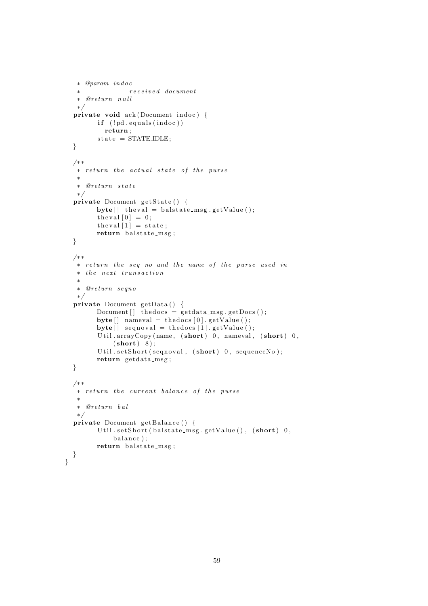```
∗ @param in d oc
 ∗ r e c e i v e d document
 ∗ @re turn n u l l
 ∗/
private void ack(Document \text{ indoc}) {
       if (! pd. equals (indoc))return ;
       state = STATEIDLE;}
/∗ ∗
 ∗ r e t u r n t h e a c t u a l s t a t e o f t h e p u r se
 ∗
 ∗ @re turn s t a t e
 ∗/
private Document getState() {
      byte [] the val = balstate_msg.getValue ();
       theval [0] = 0;
       \text{the val } [1] = \text{state};return balstate_msg;
}
/∗ ∗
 ∗ return the seq no and the name of the purse used in
 * the next transaction
 ∗
 ∗ @re turn seqno
 ∗/
private Document getData () {
      Document [ the docs = get data_msg.getDocs ();
       \text{byte}[] nameval = the docs [0]. get Value ();
       \textbf{byte}[\ ] \text{ sequoval} = \text{thedocs} \ [1]. \text{getValue}();Util.arrayCopy(name, (short) 0, nameval, (short) 0,
           (short) 8);Util.setShort (seqnoval, (short) 0, sequenceNo);
       return getdata_msg;
}
/∗ ∗
 * return the current balance of the purse
 ∗
 ∗ @re turn b a l
 ∗/
private Document getBalance() {
       Util.setShort (balstate_msg.getValue(), (\text{short}) 0,
           balance);
      return balstate_msg;
}
```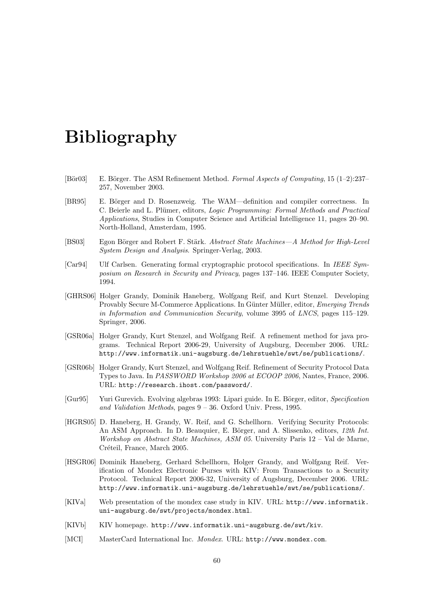### Bibliography

- [Bör03] E. Börger. The ASM Refinement Method. Formal Aspects of Computing, 15 (1–2):237– 257, November 2003.
- [BR95] E. Börger and D. Rosenzweig. The WAM—definition and compiler correctness. In C. Beierle and L. Plümer, editors, Logic Programming: Formal Methods and Practical Applications, Studies in Computer Science and Artificial Intelligence 11, pages 20–90. North-Holland, Amsterdam, 1995.
- [BS03] Egon Börger and Robert F. Stärk. Abstract State Machines—A Method for High-Level System Design and Analysis. Springer-Verlag, 2003.
- [Car94] Ulf Carlsen. Generating formal cryptographic protocol specifications. In IEEE Symposium on Research in Security and Privacy, pages 137–146. IEEE Computer Society, 1994.
- [GHRS06] Holger Grandy, Dominik Haneberg, Wolfgang Reif, and Kurt Stenzel. Developing Provably Secure M-Commerce Applications. In Günter Müller, editor, *Emerging Trends* in Information and Communication Security, volume 3995 of LNCS, pages 115–129. Springer, 2006.
- [GSR06a] Holger Grandy, Kurt Stenzel, and Wolfgang Reif. A refinement method for java programs. Technical Report 2006-29, University of Augsburg, December 2006. URL: http://www.informatik.uni-augsburg.de/lehrstuehle/swt/se/publications/.
- [GSR06b] Holger Grandy, Kurt Stenzel, and Wolfgang Reif. Refinement of Security Protocol Data Types to Java. In PASSWORD Workshop 2006 at ECOOP 2006, Nantes, France, 2006. URL: http://research.ihost.com/password/.
- [Gur95] Yuri Gurevich. Evolving algebras 1993: Lipari guide. In E. Börger, editor, Specification and Validation Methods, pages 9 – 36. Oxford Univ. Press, 1995.
- [HGRS05] D. Haneberg, H. Grandy, W. Reif, and G. Schellhorn. Verifying Security Protocols: An ASM Approach. In D. Beauquier, E. Börger, and A. Slissenko, editors, 12th Int. Workshop on Abstract State Machines, ASM 05. University Paris 12 – Val de Marne, Créteil, France, March 2005.
- [HSGR06] Dominik Haneberg, Gerhard Schellhorn, Holger Grandy, and Wolfgang Reif. Verification of Mondex Electronic Purses with KIV: From Transactions to a Security Protocol. Technical Report 2006-32, University of Augsburg, December 2006. URL: http://www.informatik.uni-augsburg.de/lehrstuehle/swt/se/publications/.
- [KIVa] Web presentation of the mondex case study in KIV. URL: http://www.informatik. uni-augsburg.de/swt/projects/mondex.html.
- [KIVb] KIV homepage. http://www.informatik.uni-augsburg.de/swt/kiv.
- [MCI] MasterCard International Inc. Mondex. URL: http://www.mondex.com.